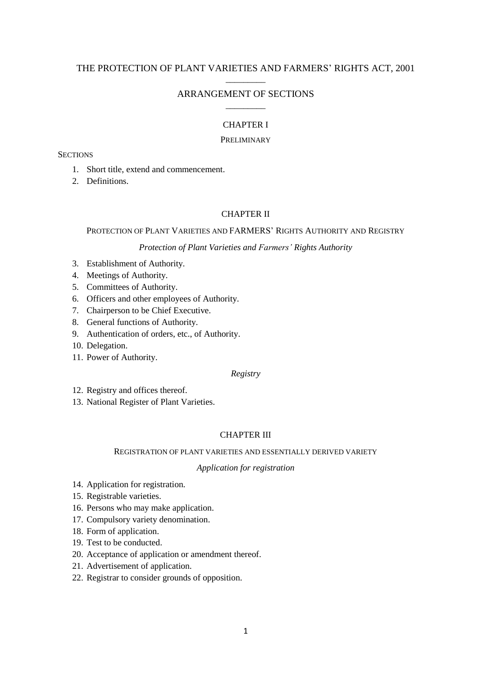# THE PROTECTION OF PLANT VARIETIES AND FARMERS' RIGHTS ACT, 2001 \_\_\_\_\_\_\_\_\_

# ARRANGEMENT OF SECTIONS \_\_\_\_\_\_\_\_\_

# CHAPTER I

### PRELIMINARY

## **SECTIONS**

- 1. Short title, extend and commencement.
- 2. Definitions.

## CHAPTER II

### PROTECTION OF PLANT VARIETIES AND FARMERS' RIGHTS AUTHORITY AND REGISTRY

### *Protection of Plant Varieties and Farmers' Rights Authority*

- 3. Establishment of Authority.
- 4. Meetings of Authority.
- 5. Committees of Authority.
- 6. Officers and other employees of Authority.
- 7. Chairperson to be Chief Executive.
- 8. General functions of Authority.
- 9. Authentication of orders, etc., of Authority.
- 10. Delegation.
- 11. Power of Authority.

# *Registry*

- 12. Registry and offices thereof.
- 13. National Register of Plant Varieties.

# CHAPTER III

## REGISTRATION OF PLANT VARIETIES AND ESSENTIALLY DERIVED VARIETY

#### *Application for registration*

- 14. Application for registration.
- 15. Registrable varieties.
- 16. Persons who may make application.
- 17. Compulsory variety denomination.
- 18. Form of application.
- 19. Test to be conducted.
- 20. Acceptance of application or amendment thereof.
- 21. Advertisement of application.
- 22. Registrar to consider grounds of opposition.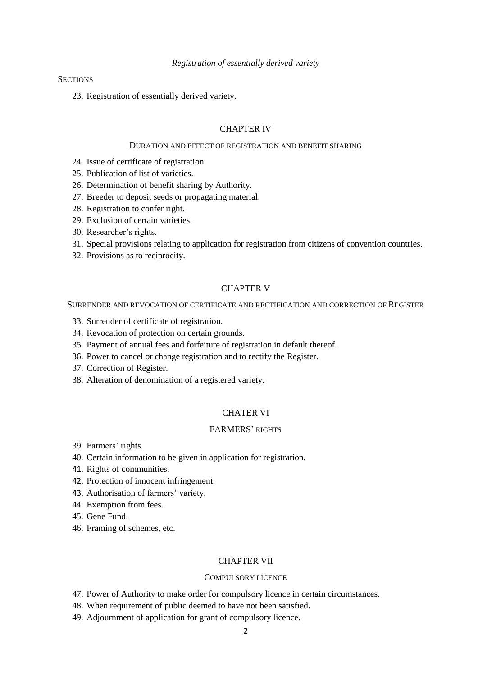### *Registration of essentially derived variety*

# **SECTIONS**

23. Registration of essentially derived variety.

# CHAPTER IV

# DURATION AND EFFECT OF REGISTRATION AND BENEFIT SHARING

- 24. Issue of certificate of registration.
- 25. Publication of list of varieties.
- 26. Determination of benefit sharing by Authority.
- 27. Breeder to deposit seeds or propagating material.
- 28. Registration to confer right.
- 29. Exclusion of certain varieties.
- 30. Researcher's rights.
- 31. Special provisions relating to application for registration from citizens of convention countries.
- 32. Provisions as to reciprocity.

### CHAPTER V

SURRENDER AND REVOCATION OF CERTIFICATE AND RECTIFICATION AND CORRECTION OF REGISTER

- 33. Surrender of certificate of registration.
- 34. Revocation of protection on certain grounds.
- 35. Payment of annual fees and forfeiture of registration in default thereof.
- 36. Power to cancel or change registration and to rectify the Register.
- 37. Correction of Register.
- 38. Alteration of denomination of a registered variety.

### CHATER VI

# FARMERS' RIGHTS

- 39. Farmers' rights.
- 40. Certain information to be given in application for registration.
- 41. Rights of communities.
- 42. Protection of innocent infringement.
- 43. Authorisation of farmers' variety.
- 44. Exemption from fees.
- 45. Gene Fund.
- 46. Framing of schemes, etc.

### CHAPTER VII

# COMPULSORY LICENCE

- 47. Power of Authority to make order for compulsory licence in certain circumstances.
- 48. When requirement of public deemed to have not been satisfied.
- 49. Adjournment of application for grant of compulsory licence.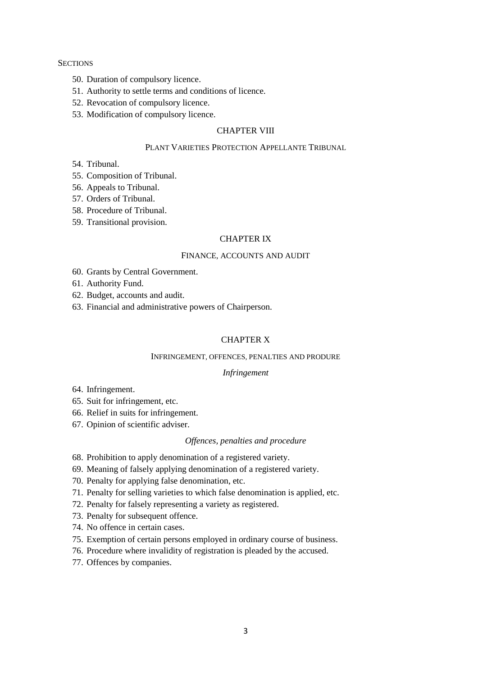### **SECTIONS**

- 50. Duration of compulsory licence.
- 51. Authority to settle terms and conditions of licence.
- 52. Revocation of compulsory licence.
- 53. Modification of compulsory licence.

# CHAPTER VIII

# PLANT VARIETIES PROTECTION APPELLANTE TRIBUNAL

- 54. Tribunal.
- 55. Composition of Tribunal.
- 56. Appeals to Tribunal.
- 57. Orders of Tribunal.
- 58. Procedure of Tribunal.
- 59. Transitional provision.

### CHAPTER IX

# FINANCE, ACCOUNTS AND AUDIT

- 60. Grants by Central Government.
- 61. Authority Fund.
- 62. Budget, accounts and audit.
- 63. Financial and administrative powers of Chairperson.

# CHAPTER X

### INFRINGEMENT, OFFENCES, PENALTIES AND PRODURE

## *Infringement*

- 64. Infringement.
- 65. Suit for infringement, etc.
- 66. Relief in suits for infringement.
- 67. Opinion of scientific adviser.

### *Offences, penalties and procedure*

- 68. Prohibition to apply denomination of a registered variety.
- 69. Meaning of falsely applying denomination of a registered variety.
- 70. Penalty for applying false denomination, etc.
- 71. Penalty for selling varieties to which false denomination is applied, etc.
- 72. Penalty for falsely representing a variety as registered.
- 73. Penalty for subsequent offence.
- 74. No offence in certain cases.
- 75. Exemption of certain persons employed in ordinary course of business.
- 76. Procedure where invalidity of registration is pleaded by the accused.
- 77. Offences by companies.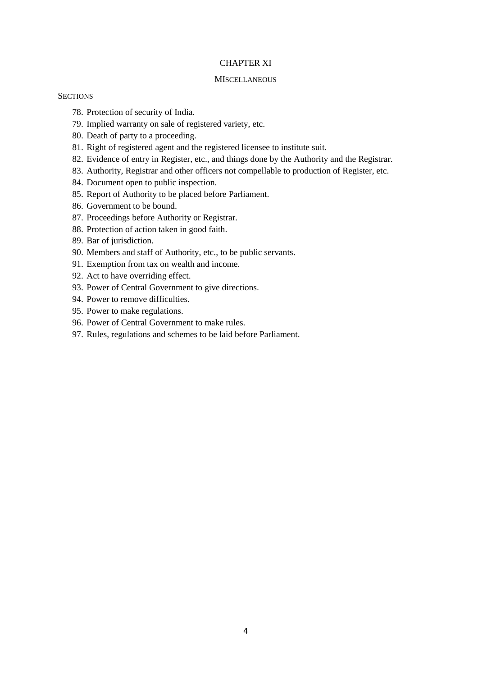# CHAPTER XI

### **MISCELLANEOUS**

## **SECTIONS**

- 78. Protection of security of India.
- 79. Implied warranty on sale of registered variety, etc.
- 80. Death of party to a proceeding.
- 81. Right of registered agent and the registered licensee to institute suit.
- 82. Evidence of entry in Register, etc., and things done by the Authority and the Registrar.
- 83. Authority, Registrar and other officers not compellable to production of Register, etc.
- 84. Document open to public inspection.
- 85. Report of Authority to be placed before Parliament.
- 86. Government to be bound.
- 87. Proceedings before Authority or Registrar.
- 88. Protection of action taken in good faith.
- 89. Bar of jurisdiction.
- 90. Members and staff of Authority, etc., to be public servants.
- 91. Exemption from tax on wealth and income.
- 92. Act to have overriding effect.
- 93. Power of Central Government to give directions.
- 94. Power to remove difficulties.
- 95. Power to make regulations.
- 96. Power of Central Government to make rules.
- 97. Rules, regulations and schemes to be laid before Parliament.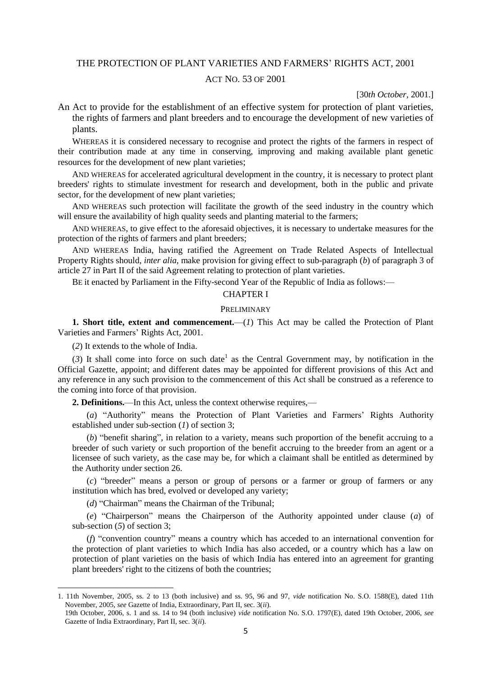# THE PROTECTION OF PLANT VARIETIES AND FARMERS' RIGHTS ACT, 2001

# ACT NO. 53 OF 2001

[30*th October*, 2001.]

An Act to provide for the establishment of an effective system for protection of plant varieties, the rights of farmers and plant breeders and to encourage the development of new varieties of plants.

WHEREAS it is considered necessary to recognise and protect the rights of the farmers in respect of their contribution made at any time in conserving, improving and making available plant genetic resources for the development of new plant varieties;

AND WHEREAS for accelerated agricultural development in the country, it is necessary to protect plant breeders' rights to stimulate investment for research and development, both in the public and private sector, for the development of new plant varieties;

AND WHEREAS such protection will facilitate the growth of the seed industry in the country which will ensure the availability of high quality seeds and planting material to the farmers;

AND WHEREAS, to give effect to the aforesaid objectives, it is necessary to undertake measures for the protection of the rights of farmers and plant breeders;

AND WHEREAS India, having ratified the Agreement on Trade Related Aspects of Intellectual Property Rights should, *inter alia*, make provision for giving effect to sub-paragraph (*b*) of paragraph 3 of article 27 in Part II of the said Agreement relating to protection of plant varieties.

BE it enacted by Parliament in the Fifty-second Year of the Republic of India as follows:—

# CHAPTER I

### PRELIMINARY

**1. Short title, extent and commencement.**—(*1*) This Act may be called the Protection of Plant Varieties and Farmers' Rights Act, 2001.

(*2*) It extends to the whole of India.

**.** 

(3) It shall come into force on such date<sup>1</sup> as the Central Government may, by notification in the Official Gazette, appoint; and different dates may be appointed for different provisions of this Act and any reference in any such provision to the commencement of this Act shall be construed as a reference to the coming into force of that provision.

**2. Definitions.**—In this Act, unless the context otherwise requires,—

(*a*) "Authority" means the Protection of Plant Varieties and Farmers' Rights Authority established under sub-section (*1*) of section 3;

(*b*) "benefit sharing", in relation to a variety, means such proportion of the benefit accruing to a breeder of such variety or such proportion of the benefit accruing to the breeder from an agent or a licensee of such variety, as the case may be, for which a claimant shall be entitled as determined by the Authority under section 26.

(*c*) "breeder" means a person or group of persons or a farmer or group of farmers or any institution which has bred, evolved or developed any variety;

(*d*) "Chairman" means the Chairman of the Tribunal;

(*e*) "Chairperson" means the Chairperson of the Authority appointed under clause (*a*) of sub-section (*5*) of section 3;

(*f*) "convention country" means a country which has acceded to an international convention for the protection of plant varieties to which India has also acceded, or a country which has a law on protection of plant varieties on the basis of which India has entered into an agreement for granting plant breeders' right to the citizens of both the countries;

<sup>1. 11</sup>th November, 2005, ss. 2 to 13 (both inclusive) and ss. 95, 96 and 97, *vide* notification No. S.O. 1588(E), dated 11th November, 2005, *see* Gazette of India, Extraordinary, Part II, sec. 3(*ii*).

<sup>19</sup>th October, 2006, s. 1 and ss. 14 to 94 (both inclusive) *vide* notification No. S.O. 1797(E), dated 19th October, 2006, *see* Gazette of India Extraordinary, Part II, sec. 3(*ii*).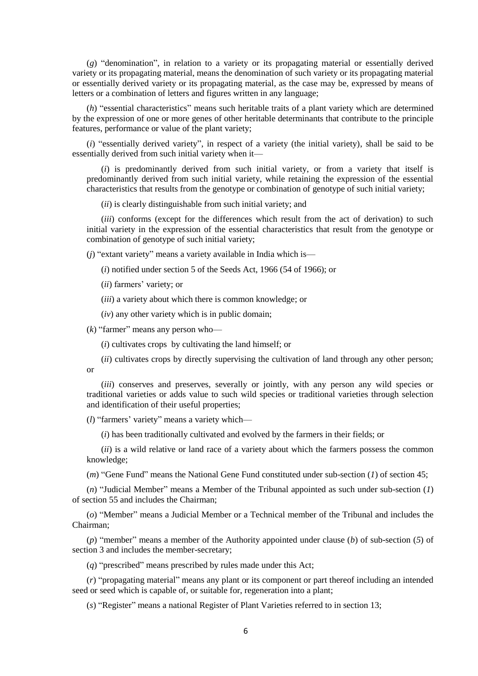(*g*) "denomination", in relation to a variety or its propagating material or essentially derived variety or its propagating material, means the denomination of such variety or its propagating material or essentially derived variety or its propagating material, as the case may be, expressed by means of letters or a combination of letters and figures written in any language;

(*h*) "essential characteristics" means such heritable traits of a plant variety which are determined by the expression of one or more genes of other heritable determinants that contribute to the principle features, performance or value of the plant variety;

(*i*) "essentially derived variety", in respect of a variety (the initial variety), shall be said to be essentially derived from such initial variety when it—

(*i*) is predominantly derived from such initial variety, or from a variety that itself is predominantly derived from such initial variety, while retaining the expression of the essential characteristics that results from the genotype or combination of genotype of such initial variety;

(*ii*) is clearly distinguishable from such initial variety; and

(*iii*) conforms (except for the differences which result from the act of derivation) to such initial variety in the expression of the essential characteristics that result from the genotype or combination of genotype of such initial variety;

(*j*) "extant variety" means a variety available in India which is—

(*i*) notified under section 5 of the Seeds Act, 1966 (54 of 1966); or

(*ii*) farmers' variety; or

(*iii*) a variety about which there is common knowledge; or

(*iv*) any other variety which is in public domain;

(*k*) "farmer" means any person who—

(*i*) cultivates crops by cultivating the land himself; or

(*ii*) cultivates crops by directly supervising the cultivation of land through any other person; or

(*iii*) conserves and preserves, severally or jointly, with any person any wild species or traditional varieties or adds value to such wild species or traditional varieties through selection and identification of their useful properties;

(*l*) "farmers' variety" means a variety which—

(*i*) has been traditionally cultivated and evolved by the farmers in their fields; or

(*ii*) is a wild relative or land race of a variety about which the farmers possess the common knowledge;

(*m*) "Gene Fund" means the National Gene Fund constituted under sub-section (*1*) of section 45;

(*n*) "Judicial Member" means a Member of the Tribunal appointed as such under sub-section (*1*) of section 55 and includes the Chairman;

(*o*) "Member" means a Judicial Member or a Technical member of the Tribunal and includes the Chairman;

(*p*) "member" means a member of the Authority appointed under clause (*b*) of sub-section (*5*) of section 3 and includes the member-secretary;

(*q*) "prescribed" means prescribed by rules made under this Act;

(*r*) "propagating material" means any plant or its component or part thereof including an intended seed or seed which is capable of, or suitable for, regeneration into a plant;

(*s*) "Register" means a national Register of Plant Varieties referred to in section 13;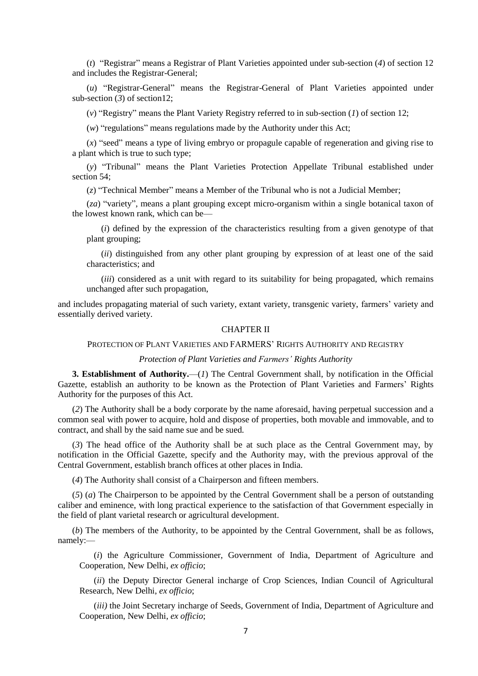(*t*) "Registrar" means a Registrar of Plant Varieties appointed under sub-section (*4*) of section 12 and includes the Registrar-General;

(*u*) "Registrar-General" means the Registrar-General of Plant Varieties appointed under sub-section  $(3)$  of section 12;

(*v*) "Registry" means the Plant Variety Registry referred to in sub-section (*1*) of section 12;

(*w*) "regulations" means regulations made by the Authority under this Act;

(*x*) "seed" means a type of living embryo or propagule capable of regeneration and giving rise to a plant which is true to such type;

(*y*) "Tribunal" means the Plant Varieties Protection Appellate Tribunal established under section 54;

(*z*) "Technical Member" means a Member of the Tribunal who is not a Judicial Member;

(*za*) "variety", means a plant grouping except micro-organism within a single botanical taxon of the lowest known rank, which can be—

(*i*) defined by the expression of the characteristics resulting from a given genotype of that plant grouping;

(*ii*) distinguished from any other plant grouping by expression of at least one of the said characteristics; and

(*iii*) considered as a unit with regard to its suitability for being propagated, which remains unchanged after such propagation,

and includes propagating material of such variety, extant variety, transgenic variety, farmers' variety and essentially derived variety.

# CHAPTER II

# PROTECTION OF PLANT VARIETIES AND FARMERS' RIGHTS AUTHORITY AND REGISTRY

## *Protection of Plant Varieties and Farmers' Rights Authority*

**3. Establishment of Authority.**—(*1*) The Central Government shall, by notification in the Official Gazette, establish an authority to be known as the Protection of Plant Varieties and Farmers' Rights Authority for the purposes of this Act.

(*2*) The Authority shall be a body corporate by the name aforesaid, having perpetual succession and a common seal with power to acquire, hold and dispose of properties, both movable and immovable, and to contract, and shall by the said name sue and be sued.

(*3*) The head office of the Authority shall be at such place as the Central Government may, by notification in the Official Gazette, specify and the Authority may, with the previous approval of the Central Government, establish branch offices at other places in India.

(*4*) The Authority shall consist of a Chairperson and fifteen members.

(*5*) (*a*) The Chairperson to be appointed by the Central Government shall be a person of outstanding caliber and eminence, with long practical experience to the satisfaction of that Government especially in the field of plant varietal research or agricultural development.

(*b*) The members of the Authority, to be appointed by the Central Government, shall be as follows, namely:—

(*i*) the Agriculture Commissioner, Government of India, Department of Agriculture and Cooperation, New Delhi, *ex officio*;

(*ii*) the Deputy Director General incharge of Crop Sciences, Indian Council of Agricultural Research, New Delhi, *ex officio*;

(*iii)* the Joint Secretary incharge of Seeds, Government of India, Department of Agriculture and Cooperation, New Delhi, *ex officio*;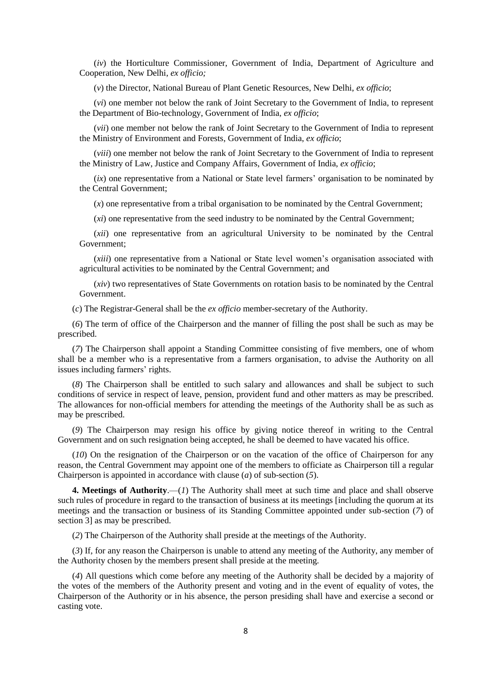(*iv*) the Horticulture Commissioner, Government of India, Department of Agriculture and Cooperation, New Delhi, *ex officio;*

(*v*) the Director, National Bureau of Plant Genetic Resources, New Delhi, *ex officio*;

(*vi*) one member not below the rank of Joint Secretary to the Government of India, to represent the Department of Bio-technology, Government of India, *ex officio*;

(*vii*) one member not below the rank of Joint Secretary to the Government of India to represent the Ministry of Environment and Forests, Government of India, *ex officio*;

(*viii*) one member not below the rank of Joint Secretary to the Government of India to represent the Ministry of Law, Justice and Company Affairs, Government of India, *ex officio*;

(*ix*) one representative from a National or State level farmers' organisation to be nominated by the Central Government;

(*x*) one representative from a tribal organisation to be nominated by the Central Government;

(*xi*) one representative from the seed industry to be nominated by the Central Government;

(*xii*) one representative from an agricultural University to be nominated by the Central Government;

(*xiii*) one representative from a National or State level women's organisation associated with agricultural activities to be nominated by the Central Government; and

(*xiv*) two representatives of State Governments on rotation basis to be nominated by the Central Government.

(*c*) The Registrar-General shall be the *ex officio* member-secretary of the Authority.

(*6*) The term of office of the Chairperson and the manner of filling the post shall be such as may be prescribed.

(*7*) The Chairperson shall appoint a Standing Committee consisting of five members, one of whom shall be a member who is a representative from a farmers organisation, to advise the Authority on all issues including farmers' rights.

(*8*) The Chairperson shall be entitled to such salary and allowances and shall be subject to such conditions of service in respect of leave, pension, provident fund and other matters as may be prescribed. The allowances for non-official members for attending the meetings of the Authority shall be as such as may be prescribed.

(*9*) The Chairperson may resign his office by giving notice thereof in writing to the Central Government and on such resignation being accepted, he shall be deemed to have vacated his office.

(*10*) On the resignation of the Chairperson or on the vacation of the office of Chairperson for any reason, the Central Government may appoint one of the members to officiate as Chairperson till a regular Chairperson is appointed in accordance with clause (*a*) of sub-section (*5*).

**4. Meetings of Authority**.—(*1*) The Authority shall meet at such time and place and shall observe such rules of procedure in regard to the transaction of business at its meetings [including the quorum at its meetings and the transaction or business of its Standing Committee appointed under sub-section (*7*) of section 3] as may be prescribed.

(*2*) The Chairperson of the Authority shall preside at the meetings of the Authority.

(*3*) If, for any reason the Chairperson is unable to attend any meeting of the Authority, any member of the Authority chosen by the members present shall preside at the meeting.

(*4*) All questions which come before any meeting of the Authority shall be decided by a majority of the votes of the members of the Authority present and voting and in the event of equality of votes, the Chairperson of the Authority or in his absence, the person presiding shall have and exercise a second or casting vote.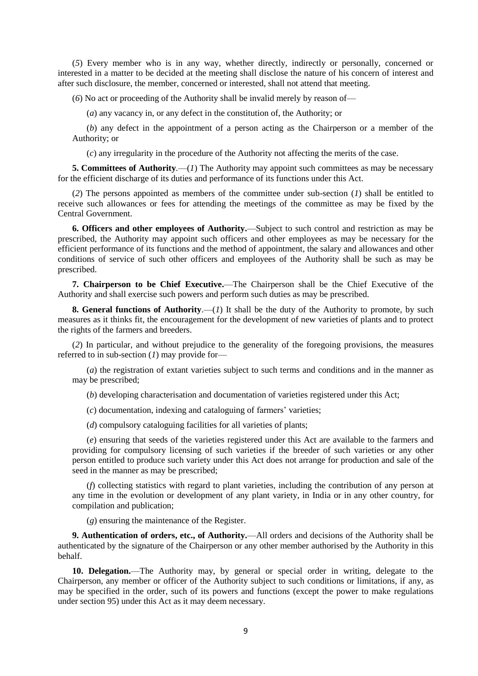(*5*) Every member who is in any way, whether directly, indirectly or personally, concerned or interested in a matter to be decided at the meeting shall disclose the nature of his concern of interest and after such disclosure, the member, concerned or interested, shall not attend that meeting.

(*6*) No act or proceeding of the Authority shall be invalid merely by reason of—

(*a*) any vacancy in, or any defect in the constitution of, the Authority; or

(*b*) any defect in the appointment of a person acting as the Chairperson or a member of the Authority; or

(*c*) any irregularity in the procedure of the Authority not affecting the merits of the case.

**5. Committees of Authority.**—(*1*) The Authority may appoint such committees as may be necessary for the efficient discharge of its duties and performance of its functions under this Act.

(*2*) The persons appointed as members of the committee under sub-section (*1*) shall be entitled to receive such allowances or fees for attending the meetings of the committee as may be fixed by the Central Government.

**6. Officers and other employees of Authority.**—Subject to such control and restriction as may be prescribed, the Authority may appoint such officers and other employees as may be necessary for the efficient performance of its functions and the method of appointment, the salary and allowances and other conditions of service of such other officers and employees of the Authority shall be such as may be prescribed.

**7. Chairperson to be Chief Executive.**—The Chairperson shall be the Chief Executive of the Authority and shall exercise such powers and perform such duties as may be prescribed.

**8. General functions of Authority.**—(*1*) It shall be the duty of the Authority to promote, by such measures as it thinks fit, the encouragement for the development of new varieties of plants and to protect the rights of the farmers and breeders.

(*2*) In particular, and without prejudice to the generality of the foregoing provisions, the measures referred to in sub-section (*1*) may provide for—

(*a*) the registration of extant varieties subject to such terms and conditions and in the manner as may be prescribed;

(*b*) developing characterisation and documentation of varieties registered under this Act;

(*c*) documentation, indexing and cataloguing of farmers' varieties;

(*d*) compulsory cataloguing facilities for all varieties of plants;

(*e*) ensuring that seeds of the varieties registered under this Act are available to the farmers and providing for compulsory licensing of such varieties if the breeder of such varieties or any other person entitled to produce such variety under this Act does not arrange for production and sale of the seed in the manner as may be prescribed;

(*f*) collecting statistics with regard to plant varieties, including the contribution of any person at any time in the evolution or development of any plant variety, in India or in any other country, for compilation and publication;

(*g*) ensuring the maintenance of the Register.

**9. Authentication of orders, etc., of Authority.**—All orders and decisions of the Authority shall be authenticated by the signature of the Chairperson or any other member authorised by the Authority in this behalf.

**10. Delegation.**—The Authority may, by general or special order in writing, delegate to the Chairperson, any member or officer of the Authority subject to such conditions or limitations, if any, as may be specified in the order, such of its powers and functions (except the power to make regulations under section 95) under this Act as it may deem necessary.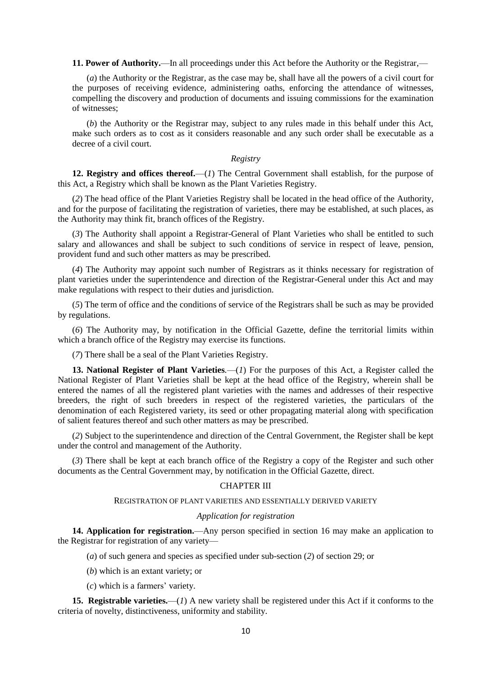**11. Power of Authority.**—In all proceedings under this Act before the Authority or the Registrar,—

(*a*) the Authority or the Registrar, as the case may be, shall have all the powers of a civil court for the purposes of receiving evidence, administering oaths, enforcing the attendance of witnesses, compelling the discovery and production of documents and issuing commissions for the examination of witnesses;

(*b*) the Authority or the Registrar may, subject to any rules made in this behalf under this Act, make such orders as to cost as it considers reasonable and any such order shall be executable as a decree of a civil court.

## *Registry*

**12. Registry and offices thereof.**—(*1*) The Central Government shall establish, for the purpose of this Act, a Registry which shall be known as the Plant Varieties Registry.

(*2*) The head office of the Plant Varieties Registry shall be located in the head office of the Authority, and for the purpose of facilitating the registration of varieties, there may be established, at such places, as the Authority may think fit, branch offices of the Registry.

(*3*) The Authority shall appoint a Registrar-General of Plant Varieties who shall be entitled to such salary and allowances and shall be subject to such conditions of service in respect of leave, pension, provident fund and such other matters as may be prescribed.

(*4*) The Authority may appoint such number of Registrars as it thinks necessary for registration of plant varieties under the superintendence and direction of the Registrar-General under this Act and may make regulations with respect to their duties and jurisdiction.

(*5*) The term of office and the conditions of service of the Registrars shall be such as may be provided by regulations.

(*6*) The Authority may, by notification in the Official Gazette, define the territorial limits within which a branch office of the Registry may exercise its functions.

(*7*) There shall be a seal of the Plant Varieties Registry.

**13. National Register of Plant Varieties***.*—(*1*) For the purposes of this Act, a Register called the National Register of Plant Varieties shall be kept at the head office of the Registry, wherein shall be entered the names of all the registered plant varieties with the names and addresses of their respective breeders, the right of such breeders in respect of the registered varieties, the particulars of the denomination of each Registered variety, its seed or other propagating material along with specification of salient features thereof and such other matters as may be prescribed.

(*2*) Subject to the superintendence and direction of the Central Government, the Register shall be kept under the control and management of the Authority.

(*3*) There shall be kept at each branch office of the Registry a copy of the Register and such other documents as the Central Government may, by notification in the Official Gazette, direct.

## CHAPTER III

### REGISTRATION OF PLANT VARIETIES AND ESSENTIALLY DERIVED VARIETY

### *Application for registration*

**14. Application for registration.**—Any person specified in section 16 may make an application to the Registrar for registration of any variety—

- (*a*) of such genera and species as specified under sub-section (*2*) of section 29; or
- (*b*) which is an extant variety; or
- (*c*) which is a farmers' variety.

**15. Registrable varieties.**—(*1*) A new variety shall be registered under this Act if it conforms to the criteria of novelty, distinctiveness, uniformity and stability.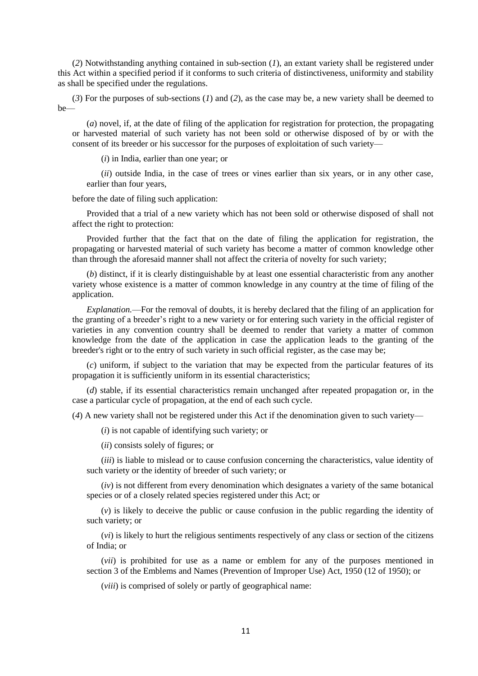(*2*) Notwithstanding anything contained in sub-section (*1*), an extant variety shall be registered under this Act within a specified period if it conforms to such criteria of distinctiveness, uniformity and stability as shall be specified under the regulations.

(*3*) For the purposes of sub-sections (*1*) and (*2*), as the case may be, a new variety shall be deemed to be—

(*a*) novel, if, at the date of filing of the application for registration for protection, the propagating or harvested material of such variety has not been sold or otherwise disposed of by or with the consent of its breeder or his successor for the purposes of exploitation of such variety—

(*i*) in India, earlier than one year; or

(*ii*) outside India, in the case of trees or vines earlier than six years, or in any other case, earlier than four years,

before the date of filing such application:

Provided that a trial of a new variety which has not been sold or otherwise disposed of shall not affect the right to protection:

Provided further that the fact that on the date of filing the application for registration, the propagating or harvested material of such variety has become a matter of common knowledge other than through the aforesaid manner shall not affect the criteria of novelty for such variety;

(*b*) distinct, if it is clearly distinguishable by at least one essential characteristic from any another variety whose existence is a matter of common knowledge in any country at the time of filing of the application.

*Explanation.*—For the removal of doubts, it is hereby declared that the filing of an application for the granting of a breeder's right to a new variety or for entering such variety in the official register of varieties in any convention country shall be deemed to render that variety a matter of common knowledge from the date of the application in case the application leads to the granting of the breeder's right or to the entry of such variety in such official register, as the case may be;

(*c*) uniform, if subject to the variation that may be expected from the particular features of its propagation it is sufficiently uniform in its essential characteristics;

(*d*) stable, if its essential characteristics remain unchanged after repeated propagation or, in the case a particular cycle of propagation, at the end of each such cycle.

(*4*) A new variety shall not be registered under this Act if the denomination given to such variety—

(*i*) is not capable of identifying such variety; or

(*ii*) consists solely of figures; or

(*iii*) is liable to mislead or to cause confusion concerning the characteristics, value identity of such variety or the identity of breeder of such variety; or

(*iv*) is not different from every denomination which designates a variety of the same botanical species or of a closely related species registered under this Act; or

(*v*) is likely to deceive the public or cause confusion in the public regarding the identity of such variety; or

(*vi*) is likely to hurt the religious sentiments respectively of any class or section of the citizens of India; or

(*vii*) is prohibited for use as a name or emblem for any of the purposes mentioned in section 3 of the Emblems and Names (Prevention of Improper Use) Act, 1950 (12 of 1950); or

(*viii*) is comprised of solely or partly of geographical name: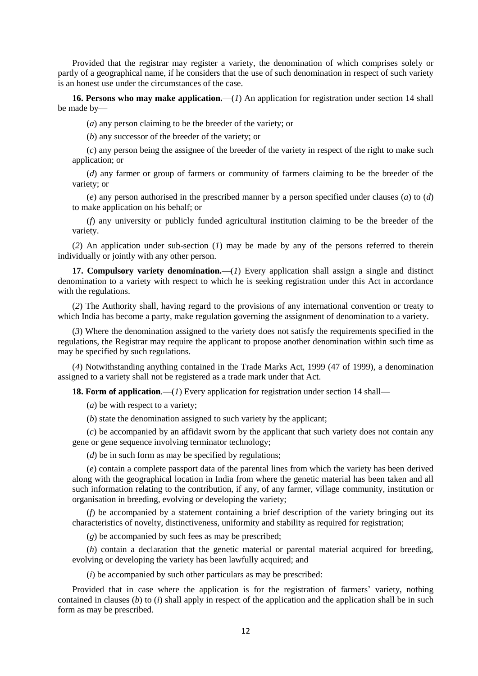Provided that the registrar may register a variety, the denomination of which comprises solely or partly of a geographical name, if he considers that the use of such denomination in respect of such variety is an honest use under the circumstances of the case.

**16. Persons who may make application.**—(*1*) An application for registration under section 14 shall be made by—

(*a*) any person claiming to be the breeder of the variety; or

(*b*) any successor of the breeder of the variety; or

(*c*) any person being the assignee of the breeder of the variety in respect of the right to make such application; or

(*d*) any farmer or group of farmers or community of farmers claiming to be the breeder of the variety; or

(*e*) any person authorised in the prescribed manner by a person specified under clauses (*a*) to (*d*) to make application on his behalf; or

(*f*) any university or publicly funded agricultural institution claiming to be the breeder of the variety.

(*2*) An application under sub-section (*1*) may be made by any of the persons referred to therein individually or jointly with any other person.

**17. Compulsory variety denomination.**—(*1*) Every application shall assign a single and distinct denomination to a variety with respect to which he is seeking registration under this Act in accordance with the regulations.

(*2*) The Authority shall, having regard to the provisions of any international convention or treaty to which India has become a party, make regulation governing the assignment of denomination to a variety.

(*3*) Where the denomination assigned to the variety does not satisfy the requirements specified in the regulations, the Registrar may require the applicant to propose another denomination within such time as may be specified by such regulations.

(*4*) Notwithstanding anything contained in the Trade Marks Act, 1999 (47 of 1999), a denomination assigned to a variety shall not be registered as a trade mark under that Act.

**18. Form of application.**—(*1*) Every application for registration under section 14 shall—

(*a*) be with respect to a variety;

(*b*) state the denomination assigned to such variety by the applicant;

(*c*) be accompanied by an affidavit sworn by the applicant that such variety does not contain any gene or gene sequence involving terminator technology;

(*d*) be in such form as may be specified by regulations:

(*e*) contain a complete passport data of the parental lines from which the variety has been derived along with the geographical location in India from where the genetic material has been taken and all such information relating to the contribution, if any, of any farmer, village community, institution or organisation in breeding, evolving or developing the variety;

(*f*) be accompanied by a statement containing a brief description of the variety bringing out its characteristics of novelty, distinctiveness, uniformity and stability as required for registration;

(*g*) be accompanied by such fees as may be prescribed;

(*h*) contain a declaration that the genetic material or parental material acquired for breeding, evolving or developing the variety has been lawfully acquired; and

(*i*) be accompanied by such other particulars as may be prescribed:

Provided that in case where the application is for the registration of farmers' variety, nothing contained in clauses (*b*) to (*i*) shall apply in respect of the application and the application shall be in such form as may be prescribed.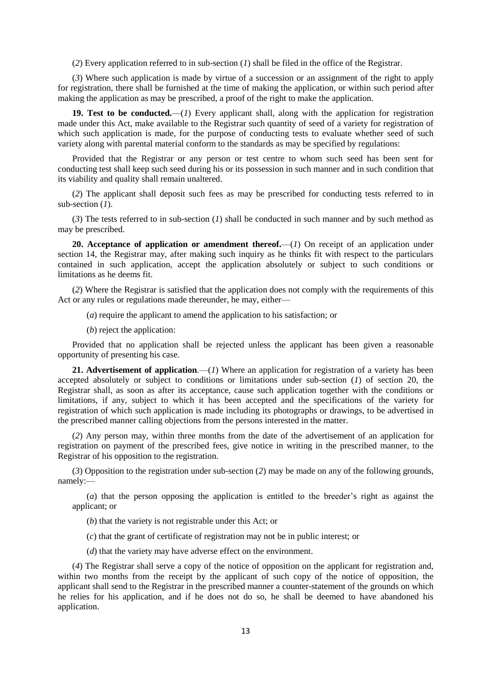(*2*) Every application referred to in sub-section (*1*) shall be filed in the office of the Registrar.

(*3*) Where such application is made by virtue of a succession or an assignment of the right to apply for registration, there shall be furnished at the time of making the application, or within such period after making the application as may be prescribed, a proof of the right to make the application.

**19. Test to be conducted.**—(*1*) Every applicant shall, along with the application for registration made under this Act, make available to the Registrar such quantity of seed of a variety for registration of which such application is made, for the purpose of conducting tests to evaluate whether seed of such variety along with parental material conform to the standards as may be specified by regulations:

Provided that the Registrar or any person or test centre to whom such seed has been sent for conducting test shall keep such seed during his or its possession in such manner and in such condition that its viability and quality shall remain unaltered.

(*2*) The applicant shall deposit such fees as may be prescribed for conducting tests referred to in sub-section (*1*).

(*3*) The tests referred to in sub-section (*1*) shall be conducted in such manner and by such method as may be prescribed.

**20. Acceptance of application or amendment thereof.**—(*1*) On receipt of an application under section 14, the Registrar may, after making such inquiry as he thinks fit with respect to the particulars contained in such application, accept the application absolutely or subject to such conditions or limitations as he deems fit.

(*2*) Where the Registrar is satisfied that the application does not comply with the requirements of this Act or any rules or regulations made thereunder, he may, either—

(*a*) require the applicant to amend the application to his satisfaction; or

(*b*) reject the application:

Provided that no application shall be rejected unless the applicant has been given a reasonable opportunity of presenting his case.

**21. Advertisement of application***.*—(*1*) Where an application for registration of a variety has been accepted absolutely or subject to conditions or limitations under sub-section (*1*) of section 20, the Registrar shall, as soon as after its acceptance, cause such application together with the conditions or limitations, if any, subject to which it has been accepted and the specifications of the variety for registration of which such application is made including its photographs or drawings, to be advertised in the prescribed manner calling objections from the persons interested in the matter.

(*2*) Any person may, within three months from the date of the advertisement of an application for registration on payment of the prescribed fees, give notice in writing in the prescribed manner, to the Registrar of his opposition to the registration.

(*3*) Opposition to the registration under sub-section (*2*) may be made on any of the following grounds, namely:—

(*a*) that the person opposing the application is entitled to the breeder's right as against the applicant; or

(*b*) that the variety is not registrable under this Act; or

(*c*) that the grant of certificate of registration may not be in public interest; or

(*d*) that the variety may have adverse effect on the environment.

(*4*) The Registrar shall serve a copy of the notice of opposition on the applicant for registration and, within two months from the receipt by the applicant of such copy of the notice of opposition, the applicant shall send to the Registrar in the prescribed manner a counter-statement of the grounds on which he relies for his application, and if he does not do so, he shall be deemed to have abandoned his application.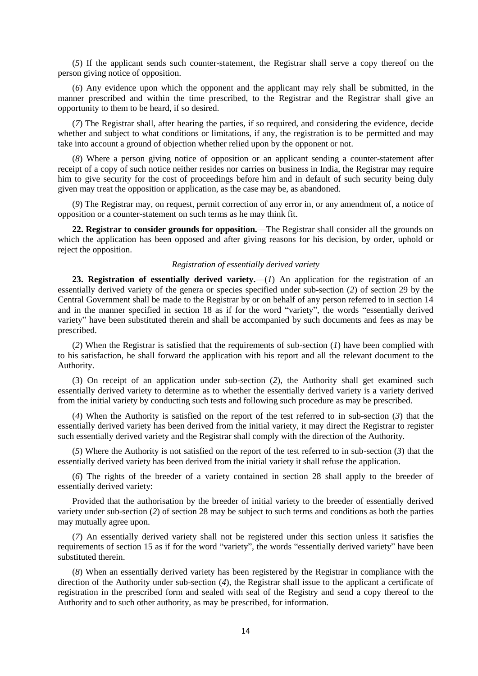(*5*) If the applicant sends such counter-statement, the Registrar shall serve a copy thereof on the person giving notice of opposition.

(*6*) Any evidence upon which the opponent and the applicant may rely shall be submitted, in the manner prescribed and within the time prescribed, to the Registrar and the Registrar shall give an opportunity to them to be heard, if so desired.

(*7*) The Registrar shall, after hearing the parties, if so required, and considering the evidence, decide whether and subject to what conditions or limitations, if any, the registration is to be permitted and may take into account a ground of objection whether relied upon by the opponent or not.

(*8*) Where a person giving notice of opposition or an applicant sending a counter-statement after receipt of a copy of such notice neither resides nor carries on business in India, the Registrar may require him to give security for the cost of proceedings before him and in default of such security being duly given may treat the opposition or application, as the case may be, as abandoned.

(*9*) The Registrar may, on request, permit correction of any error in, or any amendment of, a notice of opposition or a counter-statement on such terms as he may think fit.

**22. Registrar to consider grounds for opposition.**—The Registrar shall consider all the grounds on which the application has been opposed and after giving reasons for his decision, by order, uphold or reject the opposition.

### *Registration of essentially derived variety*

23. Registration of essentially derived variety.—(1) An application for the registration of an essentially derived variety of the genera or species specified under sub-section (*2*) of section 29 by the Central Government shall be made to the Registrar by or on behalf of any person referred to in section 14 and in the manner specified in section 18 as if for the word "variety", the words "essentially derived variety" have been substituted therein and shall be accompanied by such documents and fees as may be prescribed.

(*2*) When the Registrar is satisfied that the requirements of sub-section (*1*) have been complied with to his satisfaction, he shall forward the application with his report and all the relevant document to the Authority.

(3) On receipt of an application under sub-section (*2*), the Authority shall get examined such essentially derived variety to determine as to whether the essentially derived variety is a variety derived from the initial variety by conducting such tests and following such procedure as may be prescribed.

(*4*) When the Authority is satisfied on the report of the test referred to in sub-section (*3*) that the essentially derived variety has been derived from the initial variety, it may direct the Registrar to register such essentially derived variety and the Registrar shall comply with the direction of the Authority.

(*5*) Where the Authority is not satisfied on the report of the test referred to in sub-section (*3*) that the essentially derived variety has been derived from the initial variety it shall refuse the application.

(*6*) The rights of the breeder of a variety contained in section 28 shall apply to the breeder of essentially derived variety:

Provided that the authorisation by the breeder of initial variety to the breeder of essentially derived variety under sub-section (*2*) of section 28 may be subject to such terms and conditions as both the parties may mutually agree upon.

(*7*) An essentially derived variety shall not be registered under this section unless it satisfies the requirements of section 15 as if for the word "variety", the words "essentially derived variety" have been substituted therein.

(*8*) When an essentially derived variety has been registered by the Registrar in compliance with the direction of the Authority under sub-section (*4*), the Registrar shall issue to the applicant a certificate of registration in the prescribed form and sealed with seal of the Registry and send a copy thereof to the Authority and to such other authority, as may be prescribed, for information.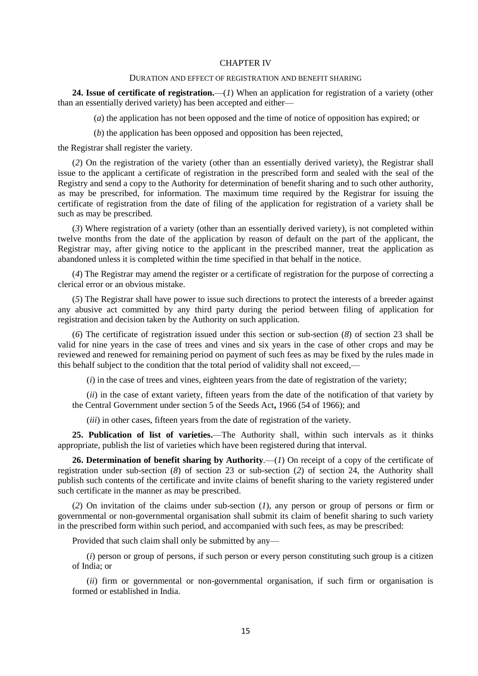#### CHAPTER IV

### DURATION AND EFFECT OF REGISTRATION AND BENEFIT SHARING

**24. Issue of certificate of registration.**—(*1*) When an application for registration of a variety (other than an essentially derived variety) has been accepted and either—

(*a*) the application has not been opposed and the time of notice of opposition has expired; or

(*b*) the application has been opposed and opposition has been rejected,

the Registrar shall register the variety.

(*2*) On the registration of the variety (other than an essentially derived variety), the Registrar shall issue to the applicant a certificate of registration in the prescribed form and sealed with the seal of the Registry and send a copy to the Authority for determination of benefit sharing and to such other authority, as may be prescribed, for information. The maximum time required by the Registrar for issuing the certificate of registration from the date of filing of the application for registration of a variety shall be such as may be prescribed.

(*3*) Where registration of a variety (other than an essentially derived variety), is not completed within twelve months from the date of the application by reason of default on the part of the applicant, the Registrar may, after giving notice to the applicant in the prescribed manner, treat the application as abandoned unless it is completed within the time specified in that behalf in the notice.

(*4*) The Registrar may amend the register or a certificate of registration for the purpose of correcting a clerical error or an obvious mistake.

(*5*) The Registrar shall have power to issue such directions to protect the interests of a breeder against any abusive act committed by any third party during the period between filing of application for registration and decision taken by the Authority on such application.

(*6*) The certificate of registration issued under this section or sub-section (*8*) of section 23 shall be valid for nine years in the case of trees and vines and six years in the case of other crops and may be reviewed and renewed for remaining period on payment of such fees as may be fixed by the rules made in this behalf subject to the condition that the total period of validity shall not exceed,—

(*i*) in the case of trees and vines, eighteen years from the date of registration of the variety;

(*ii*) in the case of extant variety, fifteen years from the date of the notification of that variety by the Central Government under section 5 of the Seeds Act**,** 1966 (54 of 1966); and

(*iii*) in other cases, fifteen years from the date of registration of the variety.

**25. Publication of list of varieties.**—The Authority shall, within such intervals as it thinks appropriate, publish the list of varieties which have been registered during that interval.

**26. Determination of benefit sharing by Authority***.*—(*1*) On receipt of a copy of the certificate of registration under sub-section (*8*) of section 23 or sub-section (*2*) of section 24, the Authority shall publish such contents of the certificate and invite claims of benefit sharing to the variety registered under such certificate in the manner as may be prescribed.

(*2*) On invitation of the claims under sub-section (*1*), any person or group of persons or firm or governmental or non-governmental organisation shall submit its claim of benefit sharing to such variety in the prescribed form within such period, and accompanied with such fees, as may be prescribed:

Provided that such claim shall only be submitted by any—

(*i*) person or group of persons, if such person or every person constituting such group is a citizen of India; or

(*ii*) firm or governmental or non-governmental organisation, if such firm or organisation is formed or established in India.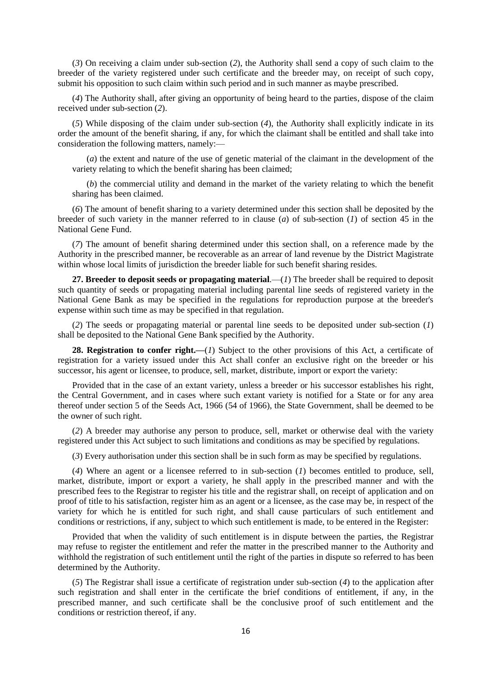(*3*) On receiving a claim under sub-section (*2*), the Authority shall send a copy of such claim to the breeder of the variety registered under such certificate and the breeder may, on receipt of such copy, submit his opposition to such claim within such period and in such manner as maybe prescribed.

(*4*) The Authority shall, after giving an opportunity of being heard to the parties, dispose of the claim received under sub-section (*2*).

(*5*) While disposing of the claim under sub-section (*4*), the Authority shall explicitly indicate in its order the amount of the benefit sharing, if any, for which the claimant shall be entitled and shall take into consideration the following matters, namely:—

(*a*) the extent and nature of the use of genetic material of the claimant in the development of the variety relating to which the benefit sharing has been claimed;

(*b*) the commercial utility and demand in the market of the variety relating to which the benefit sharing has been claimed.

(*6*) The amount of benefit sharing to a variety determined under this section shall be deposited by the breeder of such variety in the manner referred to in clause (*a*) of sub-section (*1*) of section 45 in the National Gene Fund.

(*7*) The amount of benefit sharing determined under this section shall, on a reference made by the Authority in the prescribed manner, be recoverable as an arrear of land revenue by the District Magistrate within whose local limits of jurisdiction the breeder liable for such benefit sharing resides.

**27. Breeder to deposit seeds or propagating material***.*—(*1*) The breeder shall be required to deposit such quantity of seeds or propagating material including parental line seeds of registered variety in the National Gene Bank as may be specified in the regulations for reproduction purpose at the breeder's expense within such time as may be specified in that regulation.

(*2*) The seeds or propagating material or parental line seeds to be deposited under sub-section (*1*) shall be deposited to the National Gene Bank specified by the Authority.

**28. Registration to confer right.—**(*1*) Subject to the other provisions of this Act, a certificate of registration for a variety issued under this Act shall confer an exclusive right on the breeder or his successor, his agent or licensee, to produce, sell, market, distribute, import or export the variety:

Provided that in the case of an extant variety, unless a breeder or his successor establishes his right, the Central Government, and in cases where such extant variety is notified for a State or for any area thereof under section 5 of the Seeds Act, 1966 (54 of 1966), the State Government, shall be deemed to be the owner of such right.

(*2*) A breeder may authorise any person to produce, sell, market or otherwise deal with the variety registered under this Act subject to such limitations and conditions as may be specified by regulations.

(*3*) Every authorisation under this section shall be in such form as may be specified by regulations.

(*4*) Where an agent or a licensee referred to in sub-section (*1*) becomes entitled to produce, sell, market, distribute, import or export a variety, he shall apply in the prescribed manner and with the prescribed fees to the Registrar to register his title and the registrar shall, on receipt of application and on proof of title to his satisfaction, register him as an agent or a licensee, as the case may be, in respect of the variety for which he is entitled for such right, and shall cause particulars of such entitlement and conditions or restrictions, if any, subject to which such entitlement is made, to be entered in the Register:

Provided that when the validity of such entitlement is in dispute between the parties, the Registrar may refuse to register the entitlement and refer the matter in the prescribed manner to the Authority and withhold the registration of such entitlement until the right of the parties in dispute so referred to has been determined by the Authority.

(*5*) The Registrar shall issue a certificate of registration under sub-section (*4*) to the application after such registration and shall enter in the certificate the brief conditions of entitlement, if any, in the prescribed manner, and such certificate shall be the conclusive proof of such entitlement and the conditions or restriction thereof, if any.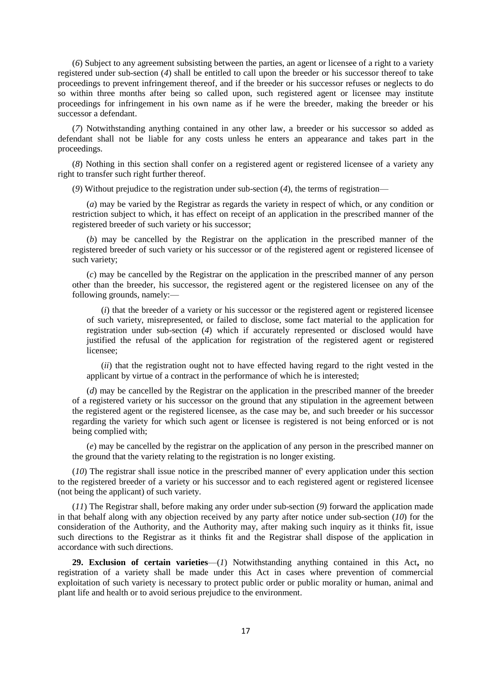(*6*) Subject to any agreement subsisting between the parties, an agent or licensee of a right to a variety registered under sub-section (*4*) shall be entitled to call upon the breeder or his successor thereof to take proceedings to prevent infringement thereof, and if the breeder or his successor refuses or neglects to do so within three months after being so called upon, such registered agent or licensee may institute proceedings for infringement in his own name as if he were the breeder, making the breeder or his successor a defendant.

(*7*) Notwithstanding anything contained in any other law, a breeder or his successor so added as defendant shall not be liable for any costs unless he enters an appearance and takes part in the proceedings.

(*8*) Nothing in this section shall confer on a registered agent or registered licensee of a variety any right to transfer such right further thereof.

(*9*) Without prejudice to the registration under sub-section (*4*), the terms of registration—

(*a*) may be varied by the Registrar as regards the variety in respect of which, or any condition or restriction subject to which, it has effect on receipt of an application in the prescribed manner of the registered breeder of such variety or his successor;

(*b*) may be cancelled by the Registrar on the application in the prescribed manner of the registered breeder of such variety or his successor or of the registered agent or registered licensee of such variety;

(*c*) may be cancelled by the Registrar on the application in the prescribed manner of any person other than the breeder, his successor, the registered agent or the registered licensee on any of the following grounds, namely:—

(*i*) that the breeder of a variety or his successor or the registered agent or registered licensee of such variety, misrepresented, or failed to disclose, some fact material to the application for registration under sub-section (*4*) which if accurately represented or disclosed would have justified the refusal of the application for registration of the registered agent or registered licensee;

(*ii*) that the registration ought not to have effected having regard to the right vested in the applicant by virtue of a contract in the performance of which he is interested;

(*d*) may be cancelled by the Registrar on the application in the prescribed manner of the breeder of a registered variety or his successor on the ground that any stipulation in the agreement between the registered agent or the registered licensee, as the case may be, and such breeder or his successor regarding the variety for which such agent or licensee is registered is not being enforced or is not being complied with;

(*e*) may be cancelled by the registrar on the application of any person in the prescribed manner on the ground that the variety relating to the registration is no longer existing.

(*10*) The registrar shall issue notice in the prescribed manner of' every application under this section to the registered breeder of a variety or his successor and to each registered agent or registered licensee (not being the applicant) of such variety.

(*11*) The Registrar shall, before making any order under sub-section (*9*) forward the application made in that behalf along with any objection received by any party after notice under sub-section (*10*) for the consideration of the Authority, and the Authority may, after making such inquiry as it thinks fit, issue such directions to the Registrar as it thinks fit and the Registrar shall dispose of the application in accordance with such directions.

**29. Exclusion of certain varieties**—(*1*) Notwithstanding anything contained in this Act**,** no registration of a variety shall be made under this Act in cases where prevention of commercial exploitation of such variety is necessary to protect public order or public morality or human, animal and plant life and health or to avoid serious prejudice to the environment.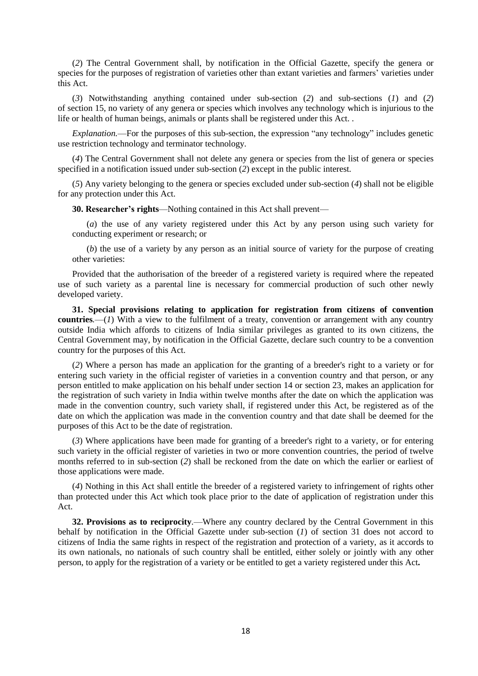(*2*) The Central Government shall, by notification in the Official Gazette, specify the genera or species for the purposes of registration of varieties other than extant varieties and farmers' varieties under this Act.

(*3*) Notwithstanding anything contained under sub-section (*2*) and sub-sections (*1*) and (*2*) of section 15, no variety of any genera or species which involves any technology which is injurious to the life or health of human beings, animals or plants shall be registered under this Act. .

*Explanation.*—For the purposes of this sub-section, the expression "any technology" includes genetic use restriction technology and terminator technology.

(*4*) The Central Government shall not delete any genera or species from the list of genera or species specified in a notification issued under sub-section (*2*) except in the public interest.

(*5*) Any variety belonging to the genera or species excluded under sub-section (*4*) shall not be eligible for any protection under this Act.

**30. Researcher's rights**—Nothing contained in this Act shall prevent—

(*a*) the use of any variety registered under this Act by any person using such variety for conducting experiment or research; or

(*b*) the use of a variety by any person as an initial source of variety for the purpose of creating other varieties:

Provided that the authorisation of the breeder of a registered variety is required where the repeated use of such variety as a parental line is necessary for commercial production of such other newly developed variety.

**31. Special provisions relating to application for registration from citizens of convention countries***.*—(*1*) With a view to the fulfilment of a treaty, convention or arrangement with any country outside India which affords to citizens of India similar privileges as granted to its own citizens, the Central Government may, by notification in the Official Gazette, declare such country to be a convention country for the purposes of this Act.

(*2*) Where a person has made an application for the granting of a breeder's right to a variety or for entering such variety in the official register of varieties in a convention country and that person, or any person entitled to make application on his behalf under section 14 or section 23, makes an application for the registration of such variety in India within twelve months after the date on which the application was made in the convention country, such variety shall, if registered under this Act, be registered as of the date on which the application was made in the convention country and that date shall be deemed for the purposes of this Act to be the date of registration.

(*3*) Where applications have been made for granting of a breeder's right to a variety, or for entering such variety in the official register of varieties in two or more convention countries, the period of twelve months referred to in sub-section (*2*) shall be reckoned from the date on which the earlier or earliest of those applications were made.

(*4*) Nothing in this Act shall entitle the breeder of a registered variety to infringement of rights other than protected under this Act which took place prior to the date of application of registration under this Act.

**32. Provisions as to reciprocity***.*—Where any country declared by the Central Government in this behalf by notification in the Official Gazette under sub-section (*1*) of section 31 does not accord to citizens of India the same rights in respect of the registration and protection of a variety, as it accords to its own nationals, no nationals of such country shall be entitled, either solely or jointly with any other person, to apply for the registration of a variety or be entitled to get a variety registered under this Act**.**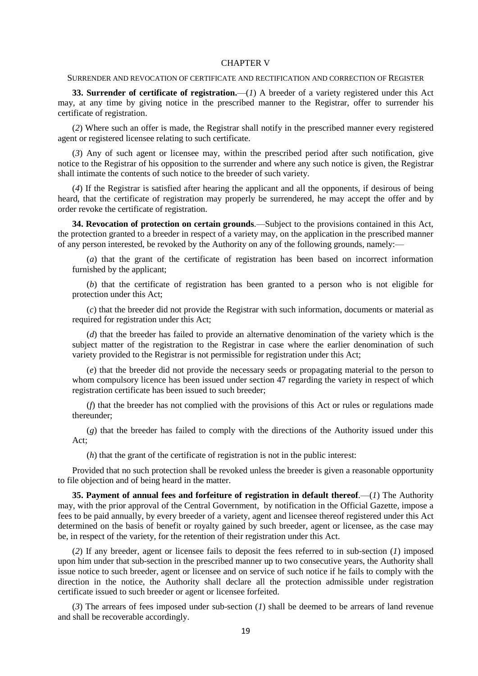#### CHAPTER V

### SURRENDER AND REVOCATION OF CERTIFICATE AND RECTIFICATION AND CORRECTION OF REGISTER

**33. Surrender of certificate of registration.**—(*1*) A breeder of a variety registered under this Act may, at any time by giving notice in the prescribed manner to the Registrar, offer to surrender his certificate of registration.

(*2*) Where such an offer is made, the Registrar shall notify in the prescribed manner every registered agent or registered licensee relating to such certificate.

(*3*) Any of such agent or licensee may, within the prescribed period after such notification, give notice to the Registrar of his opposition to the surrender and where any such notice is given, the Registrar shall intimate the contents of such notice to the breeder of such variety.

(*4*) If the Registrar is satisfied after hearing the applicant and all the opponents, if desirous of being heard, that the certificate of registration may properly be surrendered, he may accept the offer and by order revoke the certificate of registration.

**34. Revocation of protection on certain grounds***.*—Subject to the provisions contained in this Act, the protection granted to a breeder in respect of a variety may, on the application in the prescribed manner of any person interested, be revoked by the Authority on any of the following grounds, namely:—

(*a*) that the grant of the certificate of registration has been based on incorrect information furnished by the applicant;

(*b*) that the certificate of registration has been granted to a person who is not eligible for protection under this Act;

(*c*) that the breeder did not provide the Registrar with such information, documents or material as required for registration under this Act;

(*d*) that the breeder has failed to provide an alternative denomination of the variety which is the subject matter of the registration to the Registrar in case where the earlier denomination of such variety provided to the Registrar is not permissible for registration under this Act;

(*e*) that the breeder did not provide the necessary seeds or propagating material to the person to whom compulsory licence has been issued under section 47 regarding the variety in respect of which registration certificate has been issued to such breeder;

(*f*) that the breeder has not complied with the provisions of this Act or rules or regulations made thereunder;

(*g*) that the breeder has failed to comply with the directions of the Authority issued under this Act;

(*h*) that the grant of the certificate of registration is not in the public interest:

Provided that no such protection shall be revoked unless the breeder is given a reasonable opportunity to file objection and of being heard in the matter.

**35. Payment of annual fees and forfeiture of registration in default thereof***.*—(*1*) The Authority may, with the prior approval of the Central Government, by notification in the Official Gazette, impose a fees to be paid annually, by every breeder of a variety, agent and licensee thereof registered under this Act determined on the basis of benefit or royalty gained by such breeder, agent or licensee, as the case may be, in respect of the variety, for the retention of their registration under this Act.

(*2*) If any breeder, agent or licensee fails to deposit the fees referred to in sub-section (*1*) imposed upon him under that sub-section in the prescribed manner up to two consecutive years, the Authority shall issue notice to such breeder, agent or licensee and on service of such notice if he fails to comply with the direction in the notice, the Authority shall declare all the protection admissible under registration certificate issued to such breeder or agent or licensee forfeited.

(*3*) The arrears of fees imposed under sub-section (*1*) shall be deemed to be arrears of land revenue and shall be recoverable accordingly.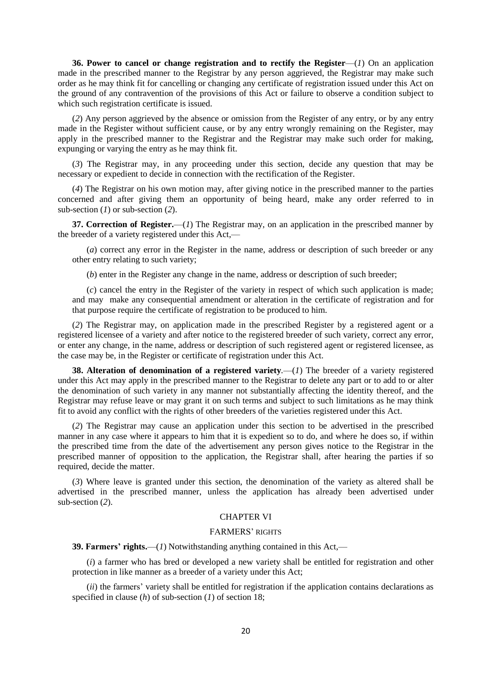**36. Power to cancel or change registration and to rectify the Register**—(*1*) On an application made in the prescribed manner to the Registrar by any person aggrieved, the Registrar may make such order as he may think fit for cancelling or changing any certificate of registration issued under this Act on the ground of any contravention of the provisions of this Act or failure to observe a condition subject to which such registration certificate is issued.

(*2*) Any person aggrieved by the absence or omission from the Register of any entry, or by any entry made in the Register without sufficient cause, or by any entry wrongly remaining on the Register, may apply in the prescribed manner to the Registrar and the Registrar may make such order for making, expunging or varying the entry as he may think fit.

(*3*) The Registrar may, in any proceeding under this section, decide any question that may be necessary or expedient to decide in connection with the rectification of the Register.

(*4*) The Registrar on his own motion may, after giving notice in the prescribed manner to the parties concerned and after giving them an opportunity of being heard, make any order referred to in sub-section (*1*) or sub-section (*2*).

**37. Correction of Register.**—(*1*) The Registrar may, on an application in the prescribed manner by the breeder of a variety registered under this Act,—

(*a*) correct any error in the Register in the name, address or description of such breeder or any other entry relating to such variety;

(*b*) enter in the Register any change in the name, address or description of such breeder;

(*c*) cancel the entry in the Register of the variety in respect of which such application is made; and may make any consequential amendment or alteration in the certificate of registration and for that purpose require the certificate of registration to be produced to him.

(*2*) The Registrar may, on application made in the prescribed Register by a registered agent or a registered licensee of a variety and after notice to the registered breeder of such variety, correct any error, or enter any change, in the name, address or description of such registered agent or registered licensee, as the case may be, in the Register or certificate of registration under this Act.

**38. Alteration of denomination of a registered variety***.*—(*1*) The breeder of a variety registered under this Act may apply in the prescribed manner to the Registrar to delete any part or to add to or alter the denomination of such variety in any manner not substantially affecting the identity thereof, and the Registrar may refuse leave or may grant it on such terms and subject to such limitations as he may think fit to avoid any conflict with the rights of other breeders of the varieties registered under this Act.

(*2*) The Registrar may cause an application under this section to be advertised in the prescribed manner in any case where it appears to him that it is expedient so to do, and where he does so, if within the prescribed time from the date of the advertisement any person gives notice to the Registrar in the prescribed manner of opposition to the application, the Registrar shall, after hearing the parties if so required, decide the matter.

(*3*) Where leave is granted under this section, the denomination of the variety as altered shall be advertised in the prescribed manner, unless the application has already been advertised under sub-section (*2*).

# CHAPTER VI

### FARMERS' RIGHTS

**39. Farmers' rights.**—(*1*) Notwithstanding anything contained in this Act,—

(*i*) a farmer who has bred or developed a new variety shall be entitled for registration and other protection in like manner as a breeder of a variety under this Act;

(*ii*) the farmers' variety shall be entitled for registration if the application contains declarations as specified in clause (*h*) of sub-section (*1*) of section 18;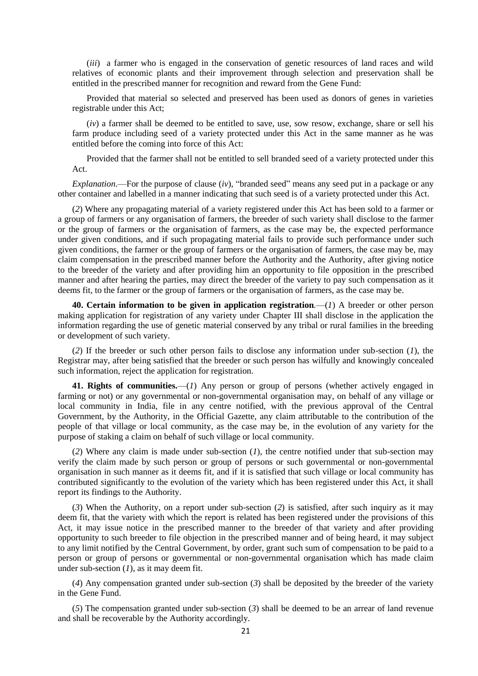(*iii*) a farmer who is engaged in the conservation of genetic resources of land races and wild relatives of economic plants and their improvement through selection and preservation shall be entitled in the prescribed manner for recognition and reward from the Gene Fund:

Provided that material so selected and preserved has been used as donors of genes in varieties registrable under this Act;

(*iv*) a farmer shall be deemed to be entitled to save, use, sow resow, exchange, share or sell his farm produce including seed of a variety protected under this Act in the same manner as he was entitled before the coming into force of this Act:

Provided that the farmer shall not be entitled to sell branded seed of a variety protected under this Act.

*Explanation*.—For the purpose of clause (*iv*), "branded seed" means any seed put in a package or any other container and labelled in a manner indicating that such seed is of a variety protected under this Act.

(*2*) Where any propagating material of a variety registered under this Act has been sold to a farmer or a group of farmers or any organisation of farmers, the breeder of such variety shall disclose to the farmer or the group of farmers or the organisation of farmers, as the case may be, the expected performance under given conditions, and if such propagating material fails to provide such performance under such given conditions, the farmer or the group of farmers or the organisation of farmers, the case may be, may claim compensation in the prescribed manner before the Authority and the Authority, after giving notice to the breeder of the variety and after providing him an opportunity to file opposition in the prescribed manner and after hearing the parties, may direct the breeder of the variety to pay such compensation as it deems fit, to the farmer or the group of farmers or the organisation of farmers, as the case may be.

**40. Certain information to be given in application registration***.*—(*1*) A breeder or other person making application for registration of any variety under Chapter III shall disclose in the application the information regarding the use of genetic material conserved by any tribal or rural families in the breeding or development of such variety.

(*2*) If the breeder or such other person fails to disclose any information under sub-section (*1*), the Registrar may, after being satisfied that the breeder or such person has wilfully and knowingly concealed such information, reject the application for registration.

**41. Rights of communities.**—(*1*) Any person or group of persons (whether actively engaged in farming or not) or any governmental or non-governmental organisation may, on behalf of any village or local community in India, file in any centre notified, with the previous approval of the Central Government, by the Authority, in the Official Gazette, any claim attributable to the contribution of the people of that village or local community, as the case may be, in the evolution of any variety for the purpose of staking a claim on behalf of such village or local community.

(*2*) Where any claim is made under sub-section (*1*), the centre notified under that sub-section may verify the claim made by such person or group of persons or such governmental or non-governmental organisation in such manner as it deems fit, and if it is satisfied that such village or local community has contributed significantly to the evolution of the variety which has been registered under this Act, it shall report its findings to the Authority.

(*3*) When the Authority, on a report under sub-section (*2*) is satisfied, after such inquiry as it may deem fit, that the variety with which the report is related has been registered under the provisions of this Act, it may issue notice in the prescribed manner to the breeder of that variety and after providing opportunity to such breeder to file objection in the prescribed manner and of being heard, it may subject to any limit notified by the Central Government, by order, grant such sum of compensation to be paid to a person or group of persons or governmental or non-governmental organisation which has made claim under sub-section (*1*), as it may deem fit.

(*4*) Any compensation granted under sub-section (*3*) shall be deposited by the breeder of the variety in the Gene Fund.

(*5*) The compensation granted under sub-section (*3*) shall be deemed to be an arrear of land revenue and shall be recoverable by the Authority accordingly.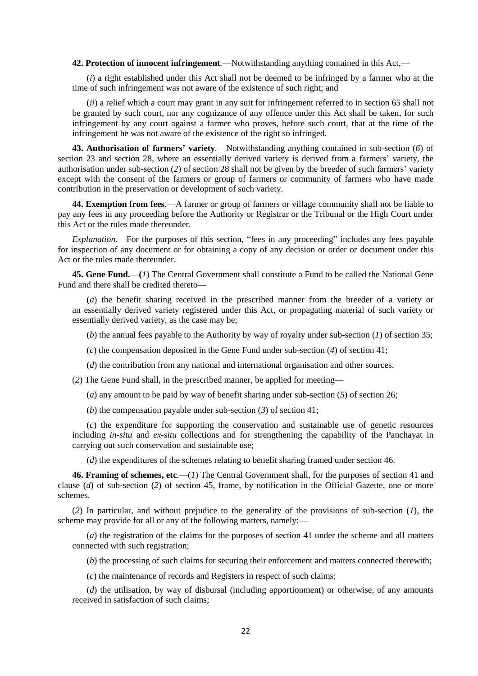**42. Protection of innocent infringement***.*—Notwithstanding anything contained in this Act,—

(*i*) a right established under this Act shall not be deemed to be infringed by a farmer who at the time of such infringement was not aware of the existence of such right; and

(*ii*) a relief which a court may grant in any suit for infringement referred to in section 65 shall not be granted by such court, nor any cognizance of any offence under this Act shall be taken, for such infringement by any court against a farmer who proves, before such court, that at the time of the infringement he was not aware of the existence of the right so infringed.

**43. Authorisation of farmers' variety***.*—Notwithstanding anything contained in sub-section (*6*) of section 23 and section 28, where an essentially derived variety is derived from a farmers' variety, the authorisation under sub-section (*2*) of section 28 shall not be given by the breeder of such farmers' variety except with the consent of the farmers or group of farmers or community of farmers who have made contribution in the preservation or development of such variety.

**44. Exemption from fees***.*—A farmer or group of farmers or village community shall not be liable to pay any fees in any proceeding before the Authority or Registrar or the Tribunal or the High Court under this Act or the rules made thereunder.

*Explanation*.—For the purposes of this section, "fees in any proceeding" includes any fees payable for inspection of any document or for obtaining a copy of any decision or order or document under this Act or the rules made thereunder.

**45. Gene Fund.—(***1*) The Central Government shall constitute a Fund to be called the National Gene Fund and there shall be credited thereto—

(*a*) the benefit sharing received in the prescribed manner from the breeder of a variety or an essentially derived variety registered under this Act, or propagating material of such variety or essentially derived variety, as the case may be;

(*b*) the annual fees payable to the Authority by way of royalty under sub-section (*1*) of section 35;

(*c*) the compensation deposited in the Gene Fund under sub-section (*4*) of section 41;

(*d*) the contribution from any national and international organisation and other sources.

(*2*) The Gene Fund shall, in the prescribed manner, be applied for meeting—

(*a*) any amount to be paid by way of benefit sharing under sub-section (*5*) of section 26;

(*b*) the compensation payable under sub-section (*3*) of section 41;

(*c*) the expenditure for supporting the conservation and sustainable use of genetic resources including *in-situ* and *ex-situ* collections and for strengthening the capability of the Panchayat in carrying out such conservation and sustainable use;

(*d*) the expenditures of the schemes relating to benefit sharing framed under section 46.

**46. Framing of schemes, etc***.*—(*1*) The Central Government shall, for the purposes of section 41 and clause (*d*) of sub-section (*2*) of section 45, frame, by notification in the Official Gazette, one or more schemes.

(*2*) In particular, and without prejudice to the generality of the provisions of sub-section (*1*), the scheme may provide for all or any of the following matters, namely:—

(*a*) the registration of the claims for the purposes of section 41 under the scheme and all matters connected with such registration;

(*b*) the processing of such claims for securing their enforcement and matters connected therewith;

(*c*) the maintenance of records and Registers in respect of such claims;

(*d*) the utilisation, by way of disbursal (including apportionment) or otherwise, of any amounts received in satisfaction of such claims;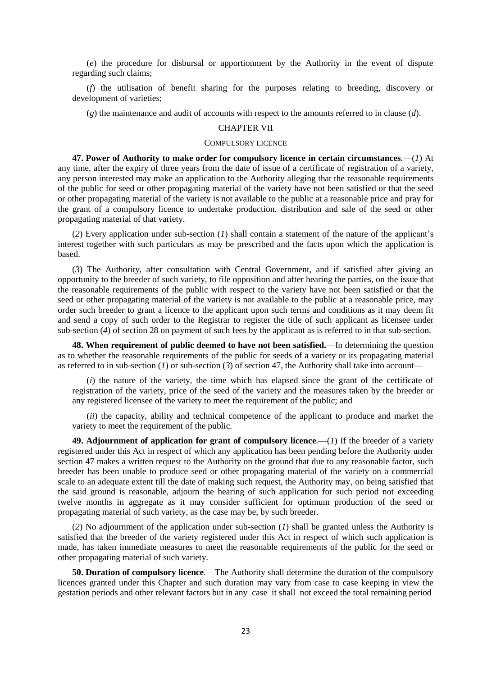(*e*) the procedure for disbursal or apportionment by the Authority in the event of dispute regarding such claims;

(*f*) the utilisation of benefit sharing for the purposes relating to breeding, discovery or development of varieties;

(*g*) the maintenance and audit of accounts with respect to the amounts referred to in clause (*d*).

# CHAPTER VII

### COMPULSORY LICENCE

**47. Power of Authority to make order for compulsory licence in certain circumstances***.*—(*1*) At any time, after the expiry of three years from the date of issue of a certificate of registration of a variety, any person interested may make an application to the Authority alleging that the reasonable requirements of the public for seed or other propagating material of the variety have not been satisfied or that the seed or other propagating material of the variety is not available to the public at a reasonable price and pray for the grant of a compulsory licence to undertake production, distribution and sale of the seed or other propagating material of that variety.

(*2*) Every application under sub-section (*1*) shall contain a statement of the nature of the applicant's interest together with such particulars as may be prescribed and the facts upon which the application is based.

(*3*) The Authority, after consultation with Central Government, and if satisfied after giving an opportunity to the breeder of such variety, to file opposition and after hearing the parties, on the issue that the reasonable requirements of the public with respect to the variety have not been satisfied or that the seed or other propagating material of the variety is not available to the public at a reasonable price, may order such breeder to grant a licence to the applicant upon such terms and conditions as it may deem fit and send a copy of such order to the Registrar to register the title of such applicant as licensee under sub-section (*4*) of section 28 on payment of such fees by the applicant as is referred to in that sub-section.

**48. When requirement of public deemed to have not been satisfied.**—In determining the question as to whether the reasonable requirements of the public for seeds of a variety or its propagating material as referred to in sub-section (*1*) or sub-section (*3*) of section 47, the Authority shall take into account—

(*i*) the nature of the variety, the time which has elapsed since the grant of the certificate of registration of the variety, price of the seed of the variety and the measures taken by the breeder or any registered licensee of the variety to meet the requirement of the public; and

(*ii*) the capacity, ability and technical competence of the applicant to produce and market the variety to meet the requirement of the public.

**49. Adjournment of application for grant of compulsory licence***.*—(*1*) If the breeder of a variety registered under this Act in respect of which any application has been pending before the Authority under section 47 makes a written request to the Authority on the ground that due to any reasonable factor, such breeder has been unable to produce seed or other propagating material of the variety on a commercial scale to an adequate extent till the date of making such request, the Authority may, on being satisfied that the said ground is reasonable, adjourn the hearing of such application for such period not exceeding twelve months in aggregate as it may consider sufficient for optimum production of the seed or propagating material of such variety, as the case may be, by such breeder.

(*2*) No adjournment of the application under sub-section (*1*) shall be granted unless the Authority is satisfied that the breeder of the variety registered under this Act in respect of which such application is made, has taken immediate measures to meet the reasonable requirements of the public for the seed or other propagating material of such variety.

**50. Duration of compulsory licence***.*—The Authority shall determine the duration of the compulsory licences granted under this Chapter and such duration may vary from case to case keeping in view the gestation periods and other relevant factors but in any case it shall not exceed the total remaining period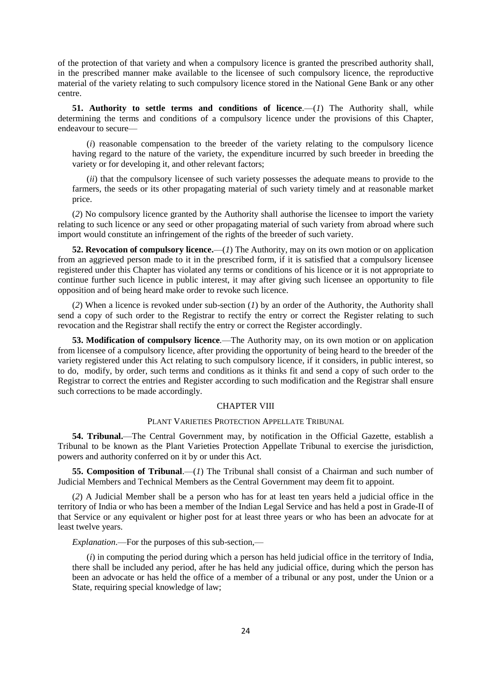of the protection of that variety and when a compulsory licence is granted the prescribed authority shall, in the prescribed manner make available to the licensee of such compulsory licence, the reproductive material of the variety relating to such compulsory licence stored in the National Gene Bank or any other centre.

**51.** Authority to settle terms and conditions of licence.—(1) The Authority shall, while determining the terms and conditions of a compulsory licence under the provisions of this Chapter, endeavour to secure—

(*i*) reasonable compensation to the breeder of the variety relating to the compulsory licence having regard to the nature of the variety, the expenditure incurred by such breeder in breeding the variety or for developing it, and other relevant factors;

(*ii*) that the compulsory licensee of such variety possesses the adequate means to provide to the farmers, the seeds or its other propagating material of such variety timely and at reasonable market price.

(*2*) No compulsory licence granted by the Authority shall authorise the licensee to import the variety relating to such licence or any seed or other propagating material of such variety from abroad where such import would constitute an infringement of the rights of the breeder of such variety.

**52. Revocation of compulsory licence.**—(*1*) The Authority, may on its own motion or on application from an aggrieved person made to it in the prescribed form, if it is satisfied that a compulsory licensee registered under this Chapter has violated any terms or conditions of his licence or it is not appropriate to continue further such licence in public interest, it may after giving such licensee an opportunity to file opposition and of being heard make order to revoke such licence.

(*2*) When a licence is revoked under sub-section (*1*) by an order of the Authority, the Authority shall send a copy of such order to the Registrar to rectify the entry or correct the Register relating to such revocation and the Registrar shall rectify the entry or correct the Register accordingly.

**53. Modification of compulsory licence***.*—The Authority may, on its own motion or on application from licensee of a compulsory licence, after providing the opportunity of being heard to the breeder of the variety registered under this Act relating to such compulsory licence, if it considers, in public interest, so to do, modify, by order, such terms and conditions as it thinks fit and send a copy of such order to the Registrar to correct the entries and Register according to such modification and the Registrar shall ensure such corrections to be made accordingly.

## CHAPTER VIII

## PLANT VARIETIES PROTECTION APPELLATE TRIBUNAL

**54. Tribunal.**—The Central Government may, by notification in the Official Gazette, establish a Tribunal to be known as the Plant Varieties Protection Appellate Tribunal to exercise the jurisdiction, powers and authority conferred on it by or under this Act.

**55. Composition of Tribunal**.—(*1*) The Tribunal shall consist of a Chairman and such number of Judicial Members and Technical Members as the Central Government may deem fit to appoint.

(*2*) A Judicial Member shall be a person who has for at least ten years held a judicial office in the territory of India or who has been a member of the Indian Legal Service and has held a post in Grade-II of that Service or any equivalent or higher post for at least three years or who has been an advocate for at least twelve years.

*Explanation*.—For the purposes of this sub-section,—

(*i*) in computing the period during which a person has held judicial office in the territory of India, there shall be included any period, after he has held any judicial office, during which the person has been an advocate or has held the office of a member of a tribunal or any post, under the Union or a State, requiring special knowledge of law;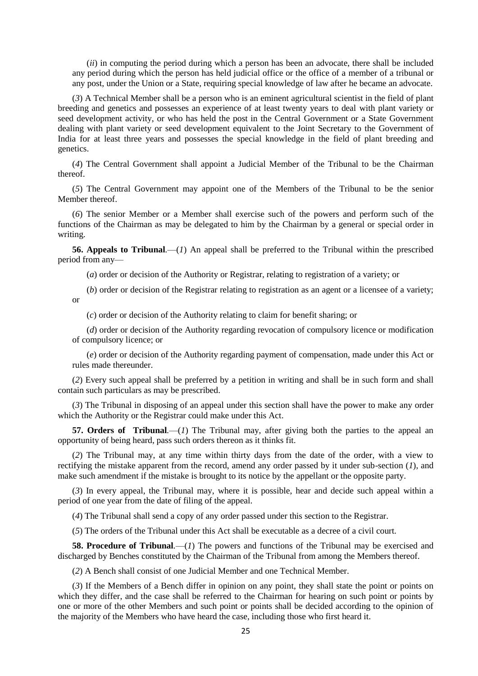(*ii*) in computing the period during which a person has been an advocate, there shall be included any period during which the person has held judicial office or the office of a member of a tribunal or any post, under the Union or a State, requiring special knowledge of law after he became an advocate.

(*3*) A Technical Member shall be a person who is an eminent agricultural scientist in the field of plant breeding and genetics and possesses an experience of at least twenty years to deal with plant variety or seed development activity, or who has held the post in the Central Government or a State Government dealing with plant variety or seed development equivalent to the Joint Secretary to the Government of India for at least three years and possesses the special knowledge in the field of plant breeding and genetics.

(*4*) The Central Government shall appoint a Judicial Member of the Tribunal to be the Chairman thereof.

(*5*) The Central Government may appoint one of the Members of the Tribunal to be the senior Member thereof.

(*6*) The senior Member or a Member shall exercise such of the powers and perform such of the functions of the Chairman as may be delegated to him by the Chairman by a general or special order in writing.

**56. Appeals to Tribunal***.*—(*1*) An appeal shall be preferred to the Tribunal within the prescribed period from any—

(*a*) order or decision of the Authority or Registrar, relating to registration of a variety; or

(*b*) order or decision of the Registrar relating to registration as an agent or a licensee of a variety; or

(*c*) order or decision of the Authority relating to claim for benefit sharing; or

(*d*) order or decision of the Authority regarding revocation of compulsory licence or modification of compulsory licence; or

(*e*) order or decision of the Authority regarding payment of compensation, made under this Act or rules made thereunder.

(*2*) Every such appeal shall be preferred by a petition in writing and shall be in such form and shall contain such particulars as may be prescribed.

(*3*) The Tribunal in disposing of an appeal under this section shall have the power to make any order which the Authority or the Registrar could make under this Act.

**57. Orders of Tribunal***.*—(*1*) The Tribunal may, after giving both the parties to the appeal an opportunity of being heard, pass such orders thereon as it thinks fit.

(*2*) The Tribunal may, at any time within thirty days from the date of the order, with a view to rectifying the mistake apparent from the record, amend any order passed by it under sub-section (*1*), and make such amendment if the mistake is brought to its notice by the appellant or the opposite party.

(*3*) In every appeal, the Tribunal may, where it is possible, hear and decide such appeal within a period of one year from the date of filing of the appeal.

(*4*) The Tribunal shall send a copy of any order passed under this section to the Registrar.

(*5*) The orders of the Tribunal under this Act shall be executable as a decree of a civil court.

**58. Procedure of Tribunal***.*—(*1*) The powers and functions of the Tribunal may be exercised and discharged by Benches constituted by the Chairman of the Tribunal from among the Members thereof.

(*2*) A Bench shall consist of one Judicial Member and one Technical Member.

(*3*) If the Members of a Bench differ in opinion on any point, they shall state the point or points on which they differ, and the case shall be referred to the Chairman for hearing on such point or points by one or more of the other Members and such point or points shall be decided according to the opinion of the majority of the Members who have heard the case, including those who first heard it.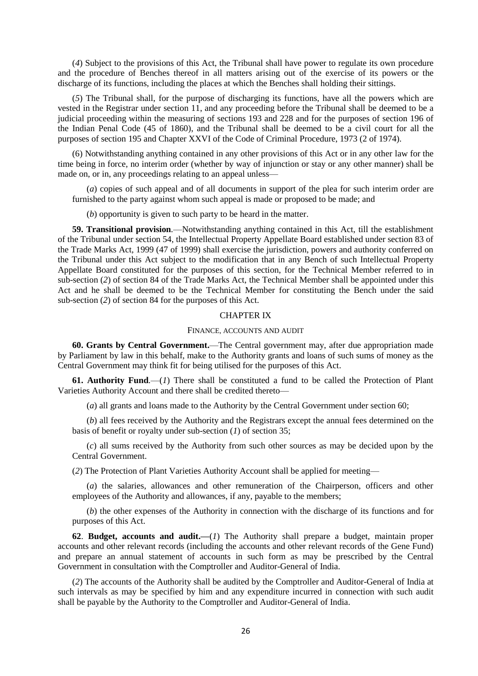(*4*) Subject to the provisions of this Act, the Tribunal shall have power to regulate its own procedure and the procedure of Benches thereof in all matters arising out of the exercise of its powers or the discharge of its functions, including the places at which the Benches shall holding their sittings.

(*5*) The Tribunal shall, for the purpose of discharging its functions, have all the powers which are vested in the Registrar under section 11, and any proceeding before the Tribunal shall be deemed to be a judicial proceeding within the measuring of sections 193 and 228 and for the purposes of section 196 of the Indian Penal Code (45 of 1860), and the Tribunal shall be deemed to be a civil court for all the purposes of section 195 and Chapter XXVI of the Code of Criminal Procedure, 1973 (2 of 1974).

(6) Notwithstanding anything contained in any other provisions of this Act or in any other law for the time being in force, no interim order (whether by way of injunction or stay or any other manner) shall be made on, or in, any proceedings relating to an appeal unless-

(*a*) copies of such appeal and of all documents in support of the plea for such interim order are furnished to the party against whom such appeal is made or proposed to be made; and

(*b*) opportunity is given to such party to be heard in the matter.

**59. Transitional provision***.*—Notwithstanding anything contained in this Act, till the establishment of the Tribunal under section 54, the Intellectual Property Appellate Board established under section 83 of the Trade Marks Act, 1999 (47 of 1999) shall exercise the jurisdiction, powers and authority conferred on the Tribunal under this Act subject to the modification that in any Bench of such Intellectual Property Appellate Board constituted for the purposes of this section, for the Technical Member referred to in sub-section (*2*) of section 84 of the Trade Marks Act, the Technical Member shall be appointed under this Act and he shall be deemed to be the Technical Member for constituting the Bench under the said sub-section (*2*) of section 84 for the purposes of this Act.

### CHAPTER IX

## FINANCE, ACCOUNTS AND AUDIT

**60. Grants by Central Government.**—The Central government may, after due appropriation made by Parliament by law in this behalf, make to the Authority grants and loans of such sums of money as the Central Government may think fit for being utilised for the purposes of this Act.

**61. Authority Fund***.*—(*1*) There shall be constituted a fund to be called the Protection of Plant Varieties Authority Account and there shall be credited thereto—

(*a*) all grants and loans made to the Authority by the Central Government under section 60;

(*b*) all fees received by the Authority and the Registrars except the annual fees determined on the basis of benefit or royalty under sub-section (*1*) of section 35;

(*c*) all sums received by the Authority from such other sources as may be decided upon by the Central Government.

(*2*) The Protection of Plant Varieties Authority Account shall be applied for meeting—

(*a*) the salaries, allowances and other remuneration of the Chairperson, officers and other employees of the Authority and allowances, if any, payable to the members;

(*b*) the other expenses of the Authority in connection with the discharge of its functions and for purposes of this Act.

**62**. **Budget, accounts and audit.—**(*1*) The Authority shall prepare a budget, maintain proper accounts and other relevant records (including the accounts and other relevant records of the Gene Fund) and prepare an annual statement of accounts in such form as may be prescribed by the Central Government in consultation with the Comptroller and Auditor-General of India.

(*2*) The accounts of the Authority shall be audited by the Comptroller and Auditor-General of India at such intervals as may be specified by him and any expenditure incurred in connection with such audit shall be payable by the Authority to the Comptroller and Auditor-General of India.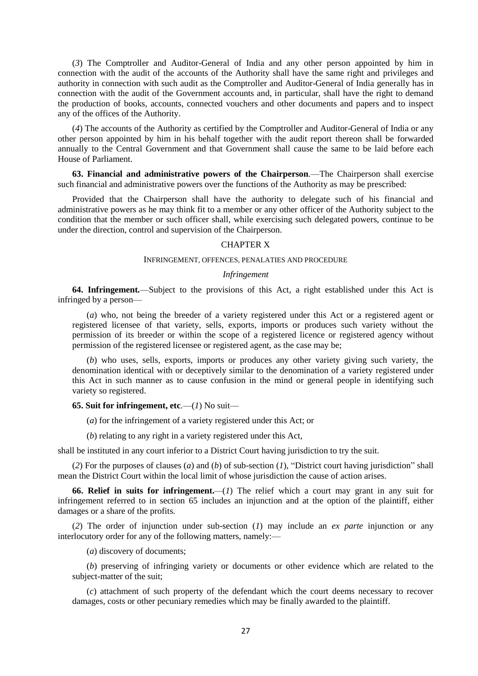(*3*) The Comptroller and Auditor-General of India and any other person appointed by him in connection with the audit of the accounts of the Authority shall have the same right and privileges and authority in connection with such audit as the Comptroller and Auditor-General of India generally has in connection with the audit of the Government accounts and, in particular, shall have the right to demand the production of books, accounts, connected vouchers and other documents and papers and to inspect any of the offices of the Authority.

(*4*) The accounts of the Authority as certified by the Comptroller and Auditor-General of India or any other person appointed by him in his behalf together with the audit report thereon shall be forwarded annually to the Central Government and that Government shall cause the same to be laid before each House of Parliament.

**63. Financial and administrative powers of the Chairperson***.*—The Chairperson shall exercise such financial and administrative powers over the functions of the Authority as may be prescribed:

Provided that the Chairperson shall have the authority to delegate such of his financial and administrative powers as he may think fit to a member or any other officer of the Authority subject to the condition that the member or such officer shall, while exercising such delegated powers, continue to be under the direction, control and supervision of the Chairperson.

### CHAPTER X

### INFRINGEMENT, OFFENCES, PENALATIES AND PROCEDURE

#### *Infringement*

**64. Infringement***.*—Subject to the provisions of this Act, a right established under this Act is infringed by a person—

(*a*) who, not being the breeder of a variety registered under this Act or a registered agent or registered licensee of that variety, sells, exports, imports or produces such variety without the permission of its breeder or within the scope of a registered licence or registered agency without permission of the registered licensee or registered agent, as the case may be;

(*b*) who uses, sells, exports, imports or produces any other variety giving such variety, the denomination identical with or deceptively similar to the denomination of a variety registered under this Act in such manner as to cause confusion in the mind or general people in identifying such variety so registered.

### **65. Suit for infringement, etc.**—(1) No suit—

(*a*) for the infringement of a variety registered under this Act; or

(*b*) relating to any right in a variety registered under this Act,

shall be instituted in any court inferior to a District Court having jurisdiction to try the suit.

(*2*) For the purposes of clauses (*a*) and (*b*) of sub-section (*1*), "District court having jurisdiction" shall mean the District Court within the local limit of whose jurisdiction the cause of action arises.

**66. Relief in suits for infringement.***—*(*1*) The relief which a court may grant in any suit for infringement referred to in section 65 includes an injunction and at the option of the plaintiff, either damages or a share of the profits.

(*2*) The order of injunction under sub-section (*1*) may include an *ex parte* injunction or any interlocutory order for any of the following matters, namely:—

(*a*) discovery of documents;

(*b*) preserving of infringing variety or documents or other evidence which are related to the subject-matter of the suit;

(*c*) attachment of such property of the defendant which the court deems necessary to recover damages, costs or other pecuniary remedies which may be finally awarded to the plaintiff.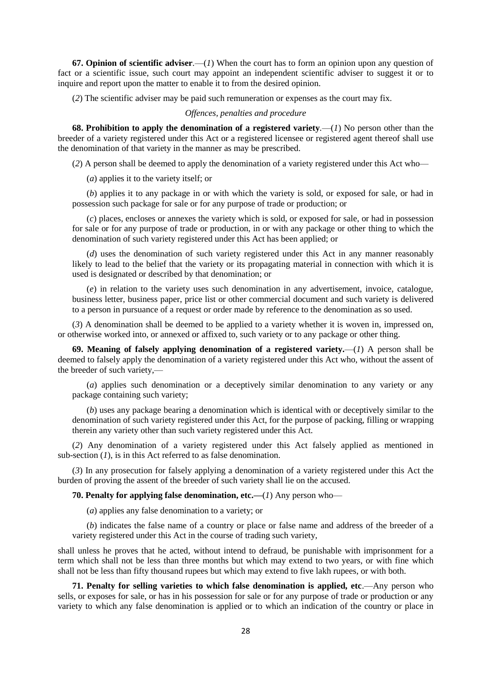**67. Opinion of scientific adviser***.*—(*1*) When the court has to form an opinion upon any question of fact or a scientific issue, such court may appoint an independent scientific adviser to suggest it or to inquire and report upon the matter to enable it to from the desired opinion.

(*2*) The scientific adviser may be paid such remuneration or expenses as the court may fix.

## *Offences, penalties and procedure*

**68. Prohibition to apply the denomination of a registered variety***.*—(*1*) No person other than the breeder of a variety registered under this Act or a registered licensee or registered agent thereof shall use the denomination of that variety in the manner as may be prescribed.

(*2*) A person shall be deemed to apply the denomination of a variety registered under this Act who—

(*a*) applies it to the variety itself; or

(*b*) applies it to any package in or with which the variety is sold, or exposed for sale, or had in possession such package for sale or for any purpose of trade or production; or

(*c*) places, encloses or annexes the variety which is sold, or exposed for sale, or had in possession for sale or for any purpose of trade or production, in or with any package or other thing to which the denomination of such variety registered under this Act has been applied; or

(*d*) uses the denomination of such variety registered under this Act in any manner reasonably likely to lead to the belief that the variety or its propagating material in connection with which it is used is designated or described by that denomination; or

(*e*) in relation to the variety uses such denomination in any advertisement, invoice, catalogue, business letter, business paper, price list or other commercial document and such variety is delivered to a person in pursuance of a request or order made by reference to the denomination as so used.

(*3*) A denomination shall be deemed to be applied to a variety whether it is woven in, impressed on, or otherwise worked into, or annexed or affixed to, such variety or to any package or other thing.

**69. Meaning of falsely applying denomination of a registered variety.**—(*1*) A person shall be deemed to falsely apply the denomination of a variety registered under this Act who, without the assent of the breeder of such variety,—

(*a*) applies such denomination or a deceptively similar denomination to any variety or any package containing such variety;

(*b*) uses any package bearing a denomination which is identical with or deceptively similar to the denomination of such variety registered under this Act, for the purpose of packing, filling or wrapping therein any variety other than such variety registered under this Act.

(*2*) Any denomination of a variety registered under this Act falsely applied as mentioned in sub-section (*1*), is in this Act referred to as false denomination.

(*3*) In any prosecution for falsely applying a denomination of a variety registered under this Act the burden of proving the assent of the breeder of such variety shall lie on the accused.

**70. Penalty for applying false denomination, etc.—**(*1*) Any person who—

(*a*) applies any false denomination to a variety; or

(*b*) indicates the false name of a country or place or false name and address of the breeder of a variety registered under this Act in the course of trading such variety,

shall unless he proves that he acted, without intend to defraud, be punishable with imprisonment for a term which shall not be less than three months but which may extend to two years, or with fine which shall not be less than fifty thousand rupees but which may extend to five lakh rupees, or with both.

**71. Penalty for selling varieties to which false denomination is applied, etc.—Any person who** sells, or exposes for sale, or has in his possession for sale or for any purpose of trade or production or any variety to which any false denomination is applied or to which an indication of the country or place in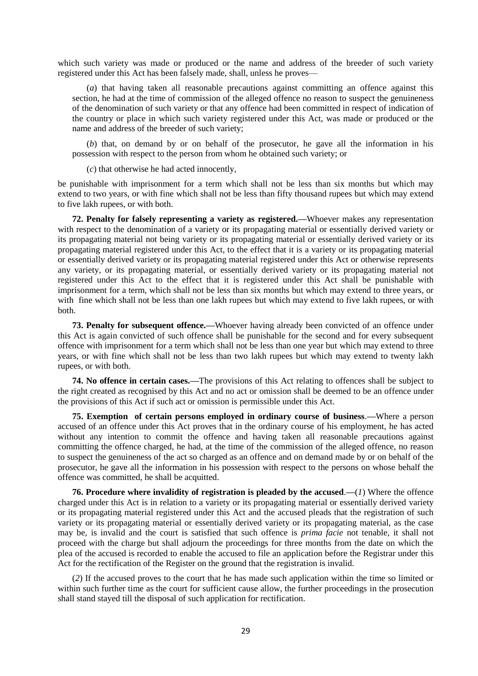which such variety was made or produced or the name and address of the breeder of such variety registered under this Act has been falsely made, shall, unless he proves—

(*a*) that having taken all reasonable precautions against committing an offence against this section, he had at the time of commission of the alleged offence no reason to suspect the genuineness of the denomination of such variety or that any offence had been committed in respect of indication of the country or place in which such variety registered under this Act, was made or produced or the name and address of the breeder of such variety;

(*b*) that, on demand by or on behalf of the prosecutor, he gave all the information in his possession with respect to the person from whom he obtained such variety; or

(*c*) that otherwise he had acted innocently,

be punishable with imprisonment for a term which shall not be less than six months but which may extend to two years, or with fine which shall not be less than fifty thousand rupees but which may extend to five lakh rupees, or with both.

**72. Penalty for falsely representing a variety as registered.—**Whoever makes any representation with respect to the denomination of a variety or its propagating material or essentially derived variety or its propagating material not being variety or its propagating material or essentially derived variety or its propagating material registered under this Act, to the effect that it is a variety or its propagating material or essentially derived variety or its propagating material registered under this Act or otherwise represents any variety, or its propagating material, or essentially derived variety or its propagating material not registered under this Act to the effect that it is registered under this Act shall be punishable with imprisonment for a term, which shall not be less than six months but which may extend to three years, or with fine which shall not be less than one lakh rupees but which may extend to five lakh rupees, or with both.

**73. Penalty for subsequent offence.—**Whoever having already been convicted of an offence under this Act is again convicted of such offence shall be punishable for the second and for every subsequent offence with imprisonment for a term which shall not be less than one year but which may extend to three years, or with fine which shall not be less than two lakh rupees but which may extend to twenty lakh rupees, or with both.

**74. No offence in certain cases.—**The provisions of this Act relating to offences shall be subject to the right created as recognised by this Act and no act or omission shall be deemed to be an offence under the provisions of this Act if such act or omission is permissible under this Act.

**75. Exemption of certain persons employed in ordinary course of business**.**—**Where a person accused of an offence under this Act proves that in the ordinary course of his employment, he has acted without any intention to commit the offence and having taken all reasonable precautions against committing the offence charged, he had, at the time of the commission of the alleged offence, no reason to suspect the genuineness of the act so charged as an offence and on demand made by or on behalf of the prosecutor, he gave all the information in his possession with respect to the persons on whose behalf the offence was committed, he shall be acquitted.

**76. Procedure where invalidity of registration is pleaded by the accused**.**—**(*1*) Where the offence charged under this Act is in relation to a variety or its propagating material or essentially derived variety or its propagating material registered under this Act and the accused pleads that the registration of such variety or its propagating material or essentially derived variety or its propagating material, as the case may be, is invalid and the court is satisfied that such offence is *prima facie* not tenable, it shall not proceed with the charge but shall adjourn the proceedings for three months from the date on which the plea of the accused is recorded to enable the accused to file an application before the Registrar under this Act for the rectification of the Register on the ground that the registration is invalid.

(*2*) If the accused proves to the court that he has made such application within the time so limited or within such further time as the court for sufficient cause allow, the further proceedings in the prosecution shall stand stayed till the disposal of such application for rectification.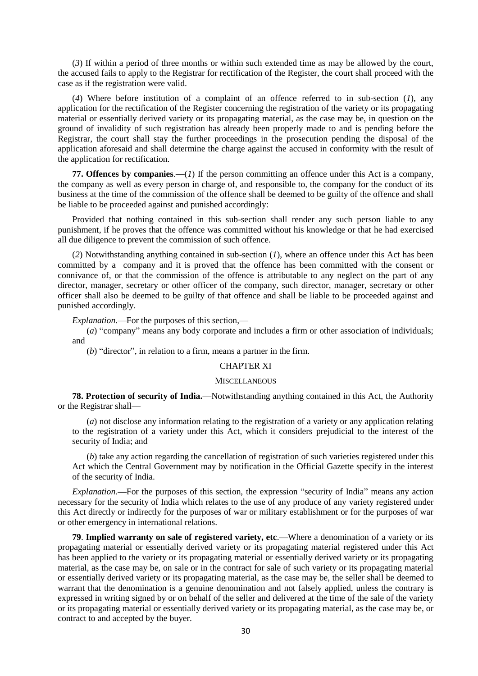(*3*) If within a period of three months or within such extended time as may be allowed by the court, the accused fails to apply to the Registrar for rectification of the Register, the court shall proceed with the case as if the registration were valid.

(*4*) Where before institution of a complaint of an offence referred to in sub-section (*1*), any application for the rectification of the Register concerning the registration of the variety or its propagating material or essentially derived variety or its propagating material, as the case may be, in question on the ground of invalidity of such registration has already been properly made to and is pending before the Registrar, the court shall stay the further proceedings in the prosecution pending the disposal of the application aforesaid and shall determine the charge against the accused in conformity with the result of the application for rectification.

**77. Offences by companies**.**—**(*1*) If the person committing an offence under this Act is a company, the company as well as every person in charge of, and responsible to, the company for the conduct of its business at the time of the commission of the offence shall be deemed to be guilty of the offence and shall be liable to be proceeded against and punished accordingly:

Provided that nothing contained in this sub-section shall render any such person liable to any punishment, if he proves that the offence was committed without his knowledge or that he had exercised all due diligence to prevent the commission of such offence.

(*2*) Notwithstanding anything contained in sub-section (*1*), where an offence under this Act has been committed by a company and it is proved that the offence has been committed with the consent or connivance of, or that the commission of the offence is attributable to any neglect on the part of any director, manager, secretary or other officer of the company, such director, manager, secretary or other officer shall also be deemed to be guilty of that offence and shall be liable to be proceeded against and punished accordingly.

*Explanation.*—For the purposes of this section,—

(*a*) "company" means any body corporate and includes a firm or other association of individuals; and

(*b*) "director", in relation to a firm, means a partner in the firm.

# CHAPTER XI

### **MISCELLANEOUS**

**78. Protection of security of India.**—Notwithstanding anything contained in this Act, the Authority or the Registrar shall—

(*a*) not disclose any information relating to the registration of a variety or any application relating to the registration of a variety under this Act, which it considers prejudicial to the interest of the security of India; and

(*b*) take any action regarding the cancellation of registration of such varieties registered under this Act which the Central Government may by notification in the Official Gazette specify in the interest of the security of India.

*Explanation.***—**For the purposes of this section, the expression "security of India" means any action necessary for the security of India which relates to the use of any produce of any variety registered under this Act directly or indirectly for the purposes of war or military establishment or for the purposes of war or other emergency in international relations.

**79**. **Implied warranty on sale of registered variety, etc**.**—**Where a denomination of a variety or its propagating material or essentially derived variety or its propagating material registered under this Act has been applied to the variety or its propagating material or essentially derived variety or its propagating material, as the case may be, on sale or in the contract for sale of such variety or its propagating material or essentially derived variety or its propagating material, as the case may be, the seller shall be deemed to warrant that the denomination is a genuine denomination and not falsely applied, unless the contrary is expressed in writing signed by or on behalf of the seller and delivered at the time of the sale of the variety or its propagating material or essentially derived variety or its propagating material, as the case may be, or contract to and accepted by the buyer.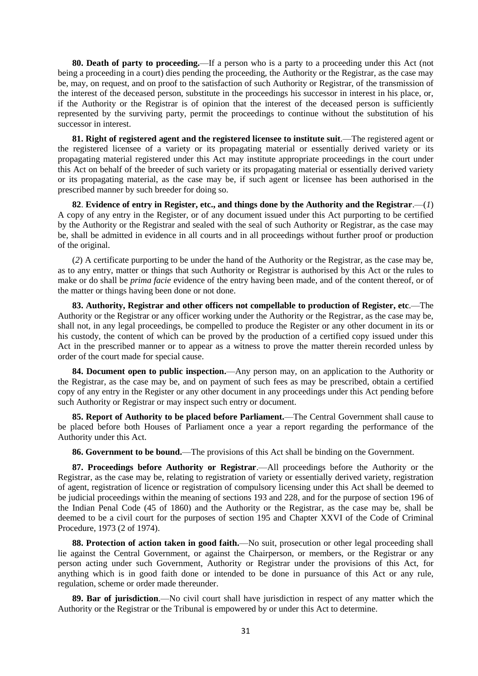**80. Death of party to proceeding.**—If a person who is a party to a proceeding under this Act (not being a proceeding in a court) dies pending the proceeding, the Authority or the Registrar, as the case may be, may, on request, and on proof to the satisfaction of such Authority or Registrar, of the transmission of the interest of the deceased person, substitute in the proceedings his successor in interest in his place, or, if the Authority or the Registrar is of opinion that the interest of the deceased person is sufficiently represented by the surviving party, permit the proceedings to continue without the substitution of his successor in interest.

**81. Right of registered agent and the registered licensee to institute suit**.—The registered agent or the registered licensee of a variety or its propagating material or essentially derived variety or its propagating material registered under this Act may institute appropriate proceedings in the court under this Act on behalf of the breeder of such variety or its propagating material or essentially derived variety or its propagating material, as the case may be, if such agent or licensee has been authorised in the prescribed manner by such breeder for doing so.

**82**. **Evidence of entry in Register, etc., and things done by the Authority and the Registrar**.—(*1*) A copy of any entry in the Register, or of any document issued under this Act purporting to be certified by the Authority or the Registrar and sealed with the seal of such Authority or Registrar, as the case may be, shall be admitted in evidence in all courts and in all proceedings without further proof or production of the original.

(*2*) A certificate purporting to be under the hand of the Authority or the Registrar, as the case may be, as to any entry, matter or things that such Authority or Registrar is authorised by this Act or the rules to make or do shall be *prima facie* evidence of the entry having been made, and of the content thereof, or of the matter or things having been done or not done.

**83. Authority, Registrar and other officers not compellable to production of Register, etc**.—The Authority or the Registrar or any officer working under the Authority or the Registrar, as the case may be, shall not, in any legal proceedings, be compelled to produce the Register or any other document in its or his custody, the content of which can be proved by the production of a certified copy issued under this Act in the prescribed manner or to appear as a witness to prove the matter therein recorded unless by order of the court made for special cause.

**84. Document open to public inspection.**—Any person may, on an application to the Authority or the Registrar, as the case may be, and on payment of such fees as may be prescribed, obtain a certified copy of any entry in the Register or any other document in any proceedings under this Act pending before such Authority or Registrar or may inspect such entry or document.

**85. Report of Authority to be placed before Parliament.**—The Central Government shall cause to be placed before both Houses of Parliament once a year a report regarding the performance of the Authority under this Act.

**86. Government to be bound.**—The provisions of this Act shall be binding on the Government.

**87. Proceedings before Authority or Registrar**.—All proceedings before the Authority or the Registrar, as the case may be, relating to registration of variety or essentially derived variety, registration of agent, registration of licence or registration of compulsory licensing under this Act shall be deemed to be judicial proceedings within the meaning of sections 193 and 228, and for the purpose of section 196 of the Indian Penal Code (45 of 1860) and the Authority or the Registrar, as the case may be, shall be deemed to be a civil court for the purposes of section 195 and Chapter XXVI of the Code of Criminal Procedure, 1973 (2 of 1974).

**88. Protection of action taken in good faith.**—No suit, prosecution or other legal proceeding shall lie against the Central Government, or against the Chairperson, or members, or the Registrar or any person acting under such Government, Authority or Registrar under the provisions of this Act, for anything which is in good faith done or intended to be done in pursuance of this Act or any rule, regulation, scheme or order made thereunder.

**89. Bar of jurisdiction**.—No civil court shall have jurisdiction in respect of any matter which the Authority or the Registrar or the Tribunal is empowered by or under this Act to determine.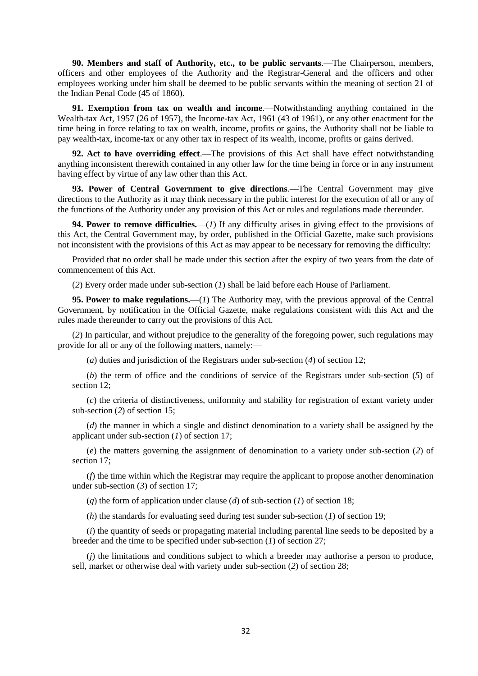**90. Members and staff of Authority, etc., to be public servants**.—The Chairperson, members, officers and other employees of the Authority and the Registrar-General and the officers and other employees working under him shall be deemed to be public servants within the meaning of section 21 of the Indian Penal Code (45 of 1860).

**91. Exemption from tax on wealth and income**.—Notwithstanding anything contained in the Wealth-tax Act, 1957 (26 of 1957), the Income-tax Act, 1961 (43 of 1961), or any other enactment for the time being in force relating to tax on wealth, income, profits or gains, the Authority shall not be liable to pay wealth-tax, income-tax or any other tax in respect of its wealth, income, profits or gains derived.

**92. Act to have overriding effect**.—The provisions of this Act shall have effect notwithstanding anything inconsistent therewith contained in any other law for the time being in force or in any instrument having effect by virtue of any law other than this Act.

**93. Power of Central Government to give directions**.—The Central Government may give directions to the Authority as it may think necessary in the public interest for the execution of all or any of the functions of the Authority under any provision of this Act or rules and regulations made thereunder.

**94. Power to remove difficulties.**—(*1*) If any difficulty arises in giving effect to the provisions of this Act, the Central Government may, by order, published in the Official Gazette, make such provisions not inconsistent with the provisions of this Act as may appear to be necessary for removing the difficulty:

Provided that no order shall be made under this section after the expiry of two years from the date of commencement of this Act.

(*2*) Every order made under sub-section (*1*) shall be laid before each House of Parliament.

**95. Power to make regulations.**—(*1*) The Authority may, with the previous approval of the Central Government, by notification in the Official Gazette, make regulations consistent with this Act and the rules made thereunder to carry out the provisions of this Act.

(*2*) In particular, and without prejudice to the generality of the foregoing power, such regulations may provide for all or any of the following matters, namely:—

(*a*) duties and jurisdiction of the Registrars under sub-section (*4*) of section 12;

(*b*) the term of office and the conditions of service of the Registrars under sub-section (*5*) of section 12;

(*c*) the criteria of distinctiveness, uniformity and stability for registration of extant variety under sub-section (*2*) of section 15;

(*d*) the manner in which a single and distinct denomination to a variety shall be assigned by the applicant under sub-section (*1*) of section 17;

(*e*) the matters governing the assignment of denomination to a variety under sub-section (*2*) of section 17;

(*f*) the time within which the Registrar may require the applicant to propose another denomination under sub-section (*3*) of section 17;

(*g*) the form of application under clause (*d*) of sub-section (*1*) of section 18;

(*h*) the standards for evaluating seed during test sunder sub-section (*1*) of section 19;

(*i*) the quantity of seeds or propagating material including parental line seeds to be deposited by a breeder and the time to be specified under sub-section (*1*) of section 27;

(*j*) the limitations and conditions subject to which a breeder may authorise a person to produce, sell, market or otherwise deal with variety under sub-section (*2*) of section 28;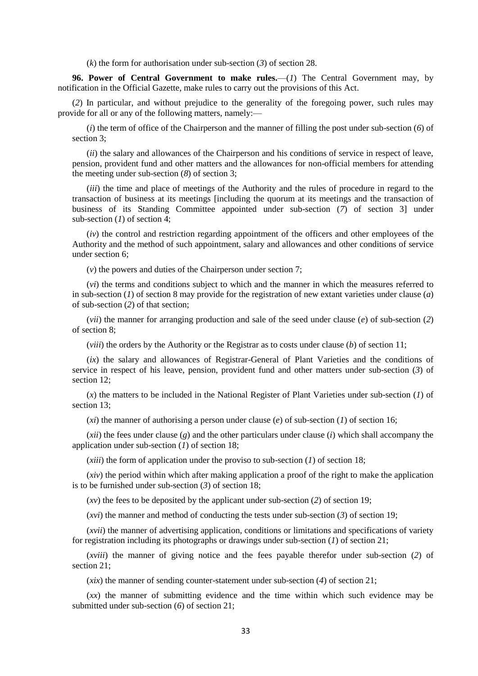(*k*) the form for authorisation under sub-section (*3*) of section 28.

**96. Power of Central Government to make rules.**—(*1*) The Central Government may, by notification in the Official Gazette, make rules to carry out the provisions of this Act.

(*2*) In particular, and without prejudice to the generality of the foregoing power, such rules may provide for all or any of the following matters, namely:—

(*i*) the term of office of the Chairperson and the manner of filling the post under sub-section (*6*) of section 3;

(*ii*) the salary and allowances of the Chairperson and his conditions of service in respect of leave, pension, provident fund and other matters and the allowances for non-official members for attending the meeting under sub-section (*8*) of section 3;

(*iii*) the time and place of meetings of the Authority and the rules of procedure in regard to the transaction of business at its meetings [including the quorum at its meetings and the transaction of business of its Standing Committee appointed under sub-section (*7*) of section 3] under sub-section (*1*) of section 4;

(*iv*) the control and restriction regarding appointment of the officers and other employees of the Authority and the method of such appointment, salary and allowances and other conditions of service under section 6;

(*v*) the powers and duties of the Chairperson under section 7;

(*vi*) the terms and conditions subject to which and the manner in which the measures referred to in sub-section (*1*) of section 8 may provide for the registration of new extant varieties under clause (*a*) of sub-section (*2*) of that section;

(*vii*) the manner for arranging production and sale of the seed under clause (*e*) of sub-section (*2*) of section 8;

(*viii*) the orders by the Authority or the Registrar as to costs under clause (*b*) of section 11;

(*ix*) the salary and allowances of Registrar-General of Plant Varieties and the conditions of service in respect of his leave, pension, provident fund and other matters under sub-section (*3*) of section 12;

(*x*) the matters to be included in the National Register of Plant Varieties under sub-section (*1*) of section 13;

(*xi*) the manner of authorising a person under clause (*e*) of sub-section (*1*) of section 16;

(*xii*) the fees under clause (*g*) and the other particulars under clause (*i*) which shall accompany the application under sub-section (*1*) of section 18;

(*xiii*) the form of application under the proviso to sub-section (*1*) of section 18;

(*xiv*) the period within which after making application a proof of the right to make the application is to be furnished under sub-section (*3*) of section 18;

(*xv*) the fees to be deposited by the applicant under sub-section (*2*) of section 19;

(*xvi*) the manner and method of conducting the tests under sub-section (*3*) of section 19;

(*xvii*) the manner of advertising application, conditions or limitations and specifications of variety for registration including its photographs or drawings under sub-section (*1*) of section 21;

(*xviii*) the manner of giving notice and the fees payable therefor under sub-section (*2*) of section 21;

(*xix*) the manner of sending counter-statement under sub-section (*4*) of section 21;

(*xx*) the manner of submitting evidence and the time within which such evidence may be submitted under sub-section (*6*) of section 21;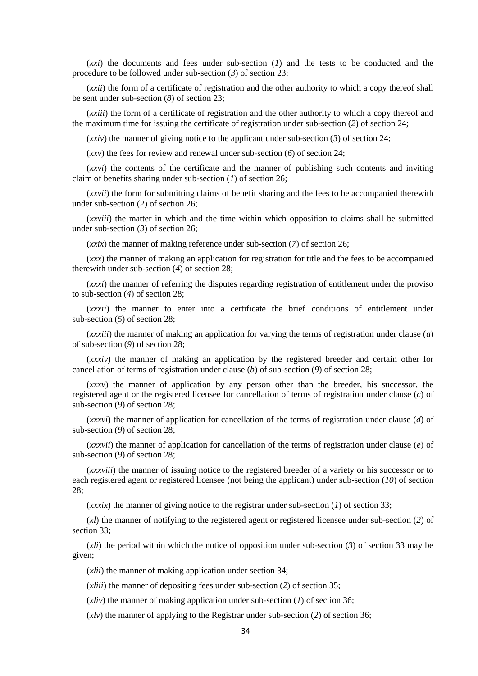(*xxi*) the documents and fees under sub-section (*1*) and the tests to be conducted and the procedure to be followed under sub-section (*3*) of section 23;

(*xxii*) the form of a certificate of registration and the other authority to which a copy thereof shall be sent under sub-section (*8*) of section 23;

(*xxiii*) the form of a certificate of registration and the other authority to which a copy thereof and the maximum time for issuing the certificate of registration under sub-section (*2*) of section 24;

(*xxiv*) the manner of giving notice to the applicant under sub-section (*3*) of section 24;

(*xxv*) the fees for review and renewal under sub-section (*6*) of section 24;

(*xxvi*) the contents of the certificate and the manner of publishing such contents and inviting claim of benefits sharing under sub-section (*1*) of section 26;

(*xxvii*) the form for submitting claims of benefit sharing and the fees to be accompanied therewith under sub-section (*2*) of section 26;

(*xxviii*) the matter in which and the time within which opposition to claims shall be submitted under sub-section (*3*) of section 26;

(*xxix*) the manner of making reference under sub-section (*7*) of section 26;

(*xxx*) the manner of making an application for registration for title and the fees to be accompanied therewith under sub-section (*4*) of section 28;

(*xxxi*) the manner of referring the disputes regarding registration of entitlement under the proviso to sub-section (*4*) of section 28;

(*xxxii*) the manner to enter into a certificate the brief conditions of entitlement under sub-section (*5*) of section 28;

(*xxxiii*) the manner of making an application for varying the terms of registration under clause (*a*) of sub-section (*9*) of section 28;

(*xxxiv*) the manner of making an application by the registered breeder and certain other for cancellation of terms of registration under clause (*b*) of sub-section (*9*) of section 28;

(*xxxv*) the manner of application by any person other than the breeder, his successor, the registered agent or the registered licensee for cancellation of terms of registration under clause (*c*) of sub-section (*9*) of section 28;

(*xxxvi*) the manner of application for cancellation of the terms of registration under clause (*d*) of sub-section (*9*) of section 28;

(*xxxvii*) the manner of application for cancellation of the terms of registration under clause (*e*) of sub-section (*9*) of section 28;

(*xxxviii*) the manner of issuing notice to the registered breeder of a variety or his successor or to each registered agent or registered licensee (not being the applicant) under sub-section (*10*) of section 28;

 $(xx\dot{y})$  the manner of giving notice to the registrar under sub-section (*1*) of section 33;

(*xl*) the manner of notifying to the registered agent or registered licensee under sub-section (*2*) of section 33;

(*xli*) the period within which the notice of opposition under sub-section (*3*) of section 33 may be given;

(*xlii*) the manner of making application under section 34;

(*xliii*) the manner of depositing fees under sub-section (*2*) of section 35;

(*xliv*) the manner of making application under sub-section (*1*) of section 36;

(*xlv*) the manner of applying to the Registrar under sub-section (*2*) of section 36;